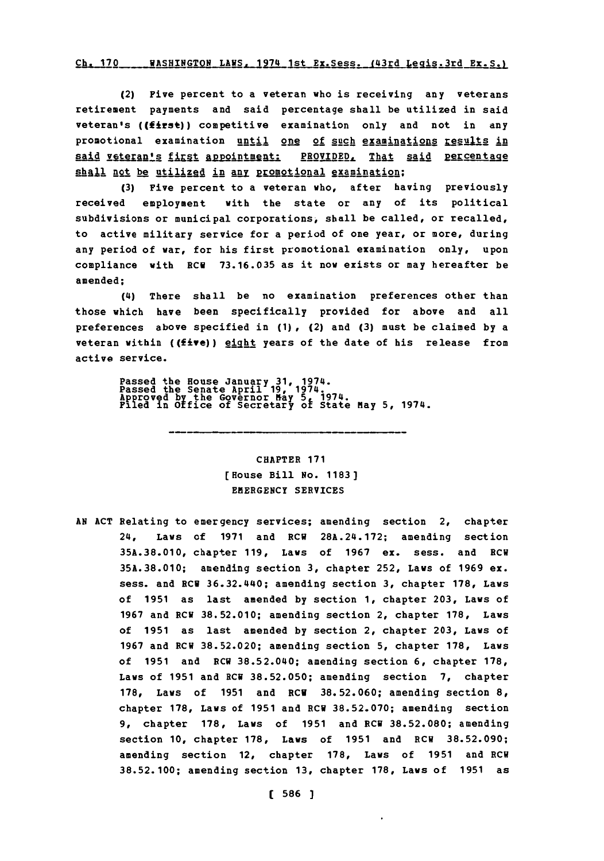#### Ch. 170\_\_\_\_\_\_WASHINGTON\_LAWS, 1974 1st Ex. Sess. (43rd Legis. 3rd Ex. S.)

(2) Five percent to a veteran who is receiving any veterans retirement payments and said percentage shall be utilized in said veteran's ((first)) competitive examination only and not in any promotional examination until one of such examinations results in said veteran's first appointment: PROVIDED, That said percentage shall not be utilized in any promotional examination;

**(3)** Five percent to a veteran who, after having previously received employment with the state or any of its political subdivisions or municipal corporations, shall be called, or recalled, to active military service for a period of one year, or more, during any period of war, for his first promotional examination only, upon compliance with RCU **73.16.035** as it now exists or may hereafter be amended;

(4) There shall be no examination preferences other than those which have been specifically provided for above and all preferences above specified in **(1),** (2) and **(3)** must be claimed **by** a veteran within **((five))** light years of the date of his release from active service.

Passed the House January **31,** 1974. Passed the Senate April **19,** 1974. Approved **by** ice ovecnrta **5** 1974. Filed in bffthe ov erory of State May **5,** 1974.

# CHAPTER **171** [House Bill No. **1183) EMERGENCY** SERVICES

**AN ACT** Relating to emergency services; amending section 2, chapter 24, Laws of **1971** and ECU 28A.24.172; amending section **35A.38.010,** chapter **119,** Laws of **1967** ex. sess. and ECU **35A.38.010;** amending section **3,** chapter **252,** Laws of **1969** ex. sess. and **ECU** 36.32.440; amending section **3,** chapter **178,** Laws of **1951** as last amended **by** section **1,** chapter **203,** Laws of **1967** and ECU **38.52.010;** amending section 2, chapter **178,** Laws of **1951** as last amended **by** section 2, chapter **203,** Laws of **1967** and ECU **38.52.020;** amending section **5,** chapter **178,** Laws of **1951** and ECU **38.52.040;** amending section **6,** chapter **178,** Laws of **1951** and ECU **38.52.050;** amending section **7,** chapter **178,** Laws of **1951** and RCU **38.52.060;** amending section **8,** chapter **178,** Laws of **1951** and ECU **38.52.070;** amending section **9,** chapter **178,** Laws of **1951** and ECU **38.52.080;** amending section **10,** chapter **178,** Laws of **1951** and ECU **38.52.090;** amending section 12, chapter **178,** Laws of **1951** and ECU **38.52.100;** amending section **13,** chapter **178,** Laws of **1951** as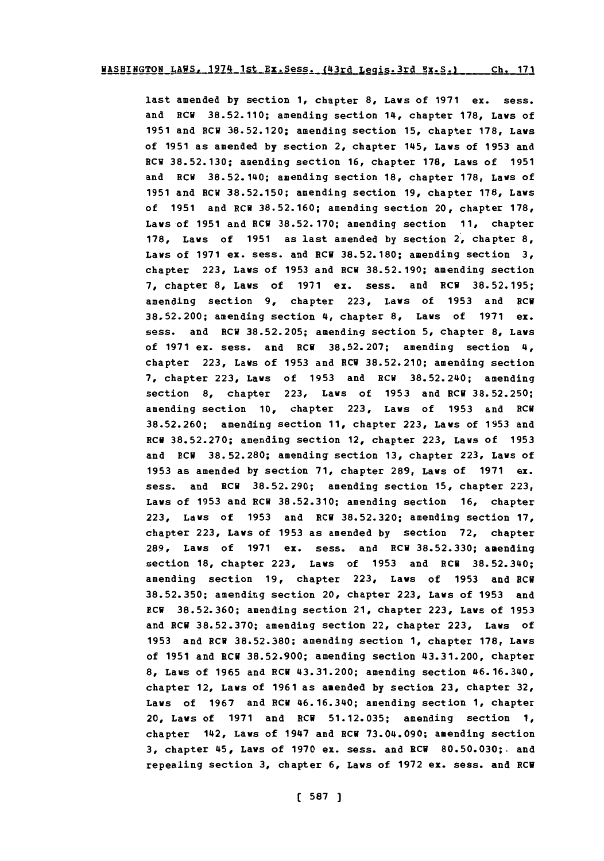last amended **by** section **1,** chapter **8,** Laws of **1971** ex. sess. and RCU **38.52.110;** amending section 14, chapter **178,** Lays of **1951** and ECU **38.52.120;** amending section **15,** chapter **178,** Lays of **1951** as amended **by** section 2, chapter 145, Laws of **1953** and ECU **38.52.130;** amending section **16,** chapter **178,** Laws of **1951** and ECU **38.52.140;** amending section **18,** chapter **178,** Lays of **1951** and **RCU 38.52.150;** amending section **19,** chapter **178,** Laws of **1951** and ECU **38.52.160;** amending section 20, chapter **178,** Laws of **1951** and RCW **38.52.170;** amending section **11,** chapter **178,** Laws of **1951** as last amended **by** section 2, chapter **8,** Laws of **1971** ex. sess. and **ECU 38.52.180;** amending section **3,** chapter **223,** Laws of **1953** and ECU **38.52.190;** amending section **7,** chapter **8,** Laws of **1971** ex. sess. and ECU **38.52.195;** amending section **9,** chapter **223,** Laws of **1953** and ECU **38.52.200;** amending section 4, chapter **8,** Laws of **1971** ex. sess. and ECU **38.52.205;** amending section **5,** chapter **8,** Laws of **1971** ex. sess. and ECU **38.52.207;** amending section 4, chapter **223,** Laws of **1953** and ECU **38.52.210;** amending section **7,** chapter **223,** Laws of **1953** and ECU **38.52.240;** amending section **8,** chapter **223,** Laws of **1953** and ECU **38.52.250;** amending section **10,** chapter **223,** Laws of **1953** and ECU **38.52.260;** amending section **11,** chapter **223,** Laws of **1953** and ECU **38.52.270;** amending section 12. chapter **223,** Laws of **1953** and ECU **38.52.280;** amending section **13,** chapter **223,** Laws of **1953** as amended **by** section **71,** chapter **289,** Laws of **1971** ex. sess. and ECU **38.52.290;** amending section **15,** chapter **223,** Laws of **1953** and ECU **38.52.310;** amending section **16,** chapter **223,** Laws of **1953** and ECU **38.52.320;** amending section **17,** chapter **223,** Laws of **1953** as amended **by** section **72,** chapter **289,** Laws of **1971** ex. sess. and ECU **38.52.330;** amending section **18,** chapter **223,** Laws of **1953** and ECU **38.52.340;** amending section **19,** chapter **223,** Laws of **1953** and ECU **38.52.350;** amending section 20, chapter **223,** Laws of **1953** and **ECU 38.52.360;** amending section 21, chapter **223,** Laws of **1953** and ECU **38.52.370;** amending section 22, chapter **223,** Laws of **1953** and ECU **38,52.380;** amending section **1,** chapter **178,** Laws of **1951** and ECU **38.52.900;** amending section 43.31.200, chapter **8,** Laws of **1965** and ECU 43.31.200; amending section 46.16.340, chapter 12, Laws of **1961** as amended **by** section **23,** chapter **32,** Laws of **1967** and ECU 46.16.340; amending section **1,** chapter 20, Laws of **1971** and **ECU 51.12.035;** amending section **1,** chapter 142, Laws of 1947 and ECU **73.04.090;** amending section **3,** chapter 45, Laws of **1970 ex.** sess. and ECU **80.50.030;.** and repealing section **3,** chapter **6,** Laws of **1972** ex. sess. and ECU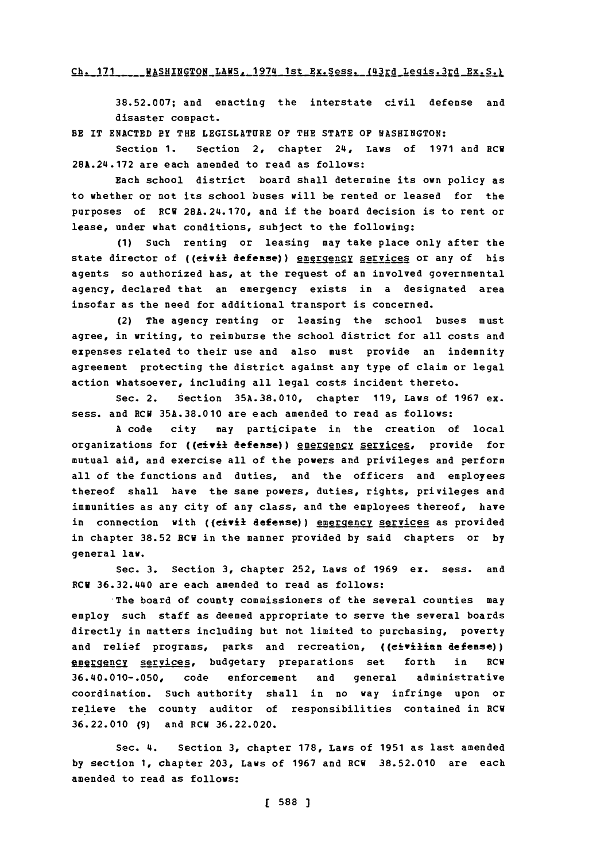#### Ch. 171 **ASHINGTON LAWS, 1974 1st Ex. Sess. (43rd Legis.3rd Ex. S.)**

**38.52.007;** and enacting the interstate civil defense and disaster compact.

BE IT **ENACTED** BY THE LEGISLATURE **OF** THE **STATE** OF **WASHINGTON:**

Section 1. Section 2, chapter 24, Laws of 1971 and RCW **28A.24.172** are each amended to read as follows:

Each school district board shall determine its own policy as to whether or not its school buses will be rented or leased for the purposes of **ECU 28A.24.170,** and if the board decision is to rent or lease, under what conditions, subject to the following:

**(1)** Such renting or leasing may take place only after the state director of ((eivil defense)) energency services or any of his agents so authorized has, at the request of an involved governmental agency, declared that an emergency exists in a designated area insofar as the need for additional transport is concerned.

(2) The agency renting or leasing the school buses must agree, in writing, to reimburse the school district for all costs and expenses related to their use and also must provide an indemnity agreement protecting the district against any type of claim or legal action whatsoever, including all legal costs incident thereto.

Sec. 2. Section **35A.38.010,** chapter **119,** Laws of **1967** ex. sess. and RCM **35A.38.010** are each amended to read as follows:

**A** code city may participate in the creation of local organizations for ((civil defense)) energency services, provide for mutual aid, and exercise all of the powers and privileges and perform all of the functions and duties, and the officers and employees thereof shall have the same powers, duties, rights, privileges and immunities as any city of any class, and the employees thereof, have in connection with ((civil defense)) energency services as provided in chapter **38.52** ECU in the manner provided **by** said chapters or **by** general law.

Sec. **3.** Section **3,** chapter **252,** Laws of **1969 ex.** sess. and RCW 36.32.440 are each amended to read as follows:

The board of county commissioners of the several counties may employ such staff as deemed appropriate to serve the several boards directly in matters including but not limited to purchasing, poverty and relief programs, parks and recreation, ((civilian defense)) emergency services, budgetary preparations set forth in RCW **36.40.010-.050,** code enforcement and general administrative coordination. Such authority shall in no way infringe upon or relieve the county auditor of responsibilities contained in ECU **36.22.010 (9)** and ECU **36.22.020.**

Sec. 4. Section **3,** chapter **178,** Laws of **1951** as last amended **by** section **1,** chapter **203,** Laws of **1967** and ECU **38.52.010** are each amended to read as follows: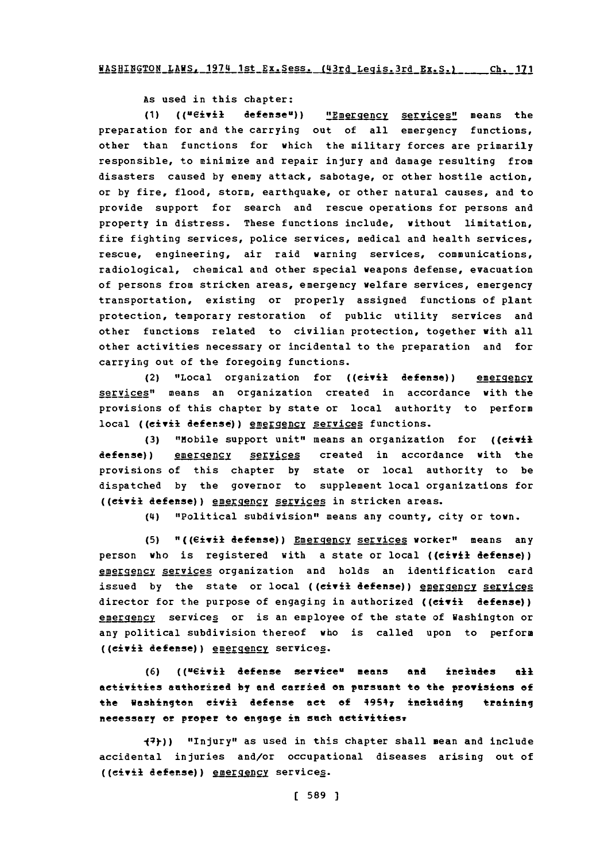**AS used in this chapter:**

(1) (("eivil defense")) "Emergency services" means the preparation for and the carrying out of all emergency functions, other than functions for which the military forces are primarily responsible, to minimize and repair injury and damage resulting from disasters caused **by** enemy attack, sabotage, or other hostile action, or **by** fire, flood, storm, earthquake, or other natural causes, and to provide support for search and rescue operations for persons and property in distress. These functions include, without limitation, fire fighting services, police services, medical and health services, rescue, engineering, air raid warning services, communications, radiological, chemical and other special weapons defense, evacuation of persons from stricken areas, emergency welfare services, emergency transportation, existing or properly assigned functions of plant protection, temporary restoration of public utility services and other functions related to civilian protection, together with all other activities necessary or incidental to the preparation and for carrying out of the foregoing functions.

(2) "Local organization for ((eivil defense)) emergency services" means an organization created in accordance with the provisions of this chapter **by** state or local authority to perform local ((eivit defense)) emergency services functions.

**(3)** "M~obile support unit" means an organization for ((civil defense)) emergency services created in accordance with the provisions of this chapter **by** state or local authority to be dispatched **by** the governor to supplement local organizations for ((civil defense)) emergency services in stricken areas.

**(14)** "Political subdivision" means any county, city or town.

(5) "((Civil defense)) **Emergency services** worker" means any person who is registered with a state or local **((civil** defense)) emergency services organization and holds an identification card issued by the state or local ((civil defense)) energency services director for the purpose of engaging in authorized **((civil defense))** emergency services or is an employee of the state of Washington or any political subdivision thereof who is called upon to perform ((civil defense)) energency services.

**(6)** ((ueivil defense **servieen means and ineledes all** activities authorized **by and carried on pursuant to the provisions of** the Washington civil defense act of **49547** including training necessary or proper to engage in such activities.

**-Y))** "Injury" as used in this chapter shall mean and include accidental injuries and/or occupational diseases arising out of ((eivil defense)) emergency services.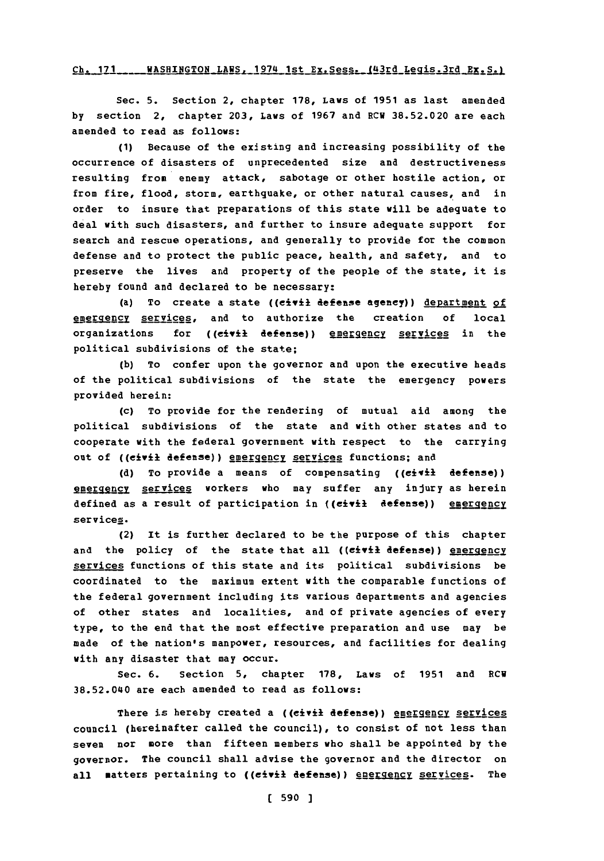#### Ch. 171 WASHINGTON LAWS, 1974 1st Ex. Sess. (43rd Legis. 3rd Ex. S.)

Sec. **5.** Section 2, chapter **178,** *Laws* of **1951** as last amended **by** section 2, chapter **203,** Laws of **1967** and RCW **38.52.020** are each amended to read as follows:

**(1)** Because of the existing and increasing possibility of the occurrence of disasters of unprecedented size and destructiveness resulting from enemy attack, sabotage or other hostile action, or from fire, flood, storm, earthquake, or other natural causes, and in order to insure that preparations of this state will be adequate to deal with such disasters, and further to insure adequate support for search and rescue operations, and generally to provide for the common defense and to protect the public peace, health, and safety, and to preserve the lives and property of the people of the state, it is hereby found and declared to be necessary:

(a) To create a state ((civil defense agency)) department of emgrgeR21 services, and to authorize the creation **of** local organizations for ((civil defense)) emergency services in the political subdivisions of the state;

**(b)** To confer upon the governor and upon the executive heads of the political subdivisions of the state the emergency powers provided herein:

(c) To provide for the rendering of mutual aid among the political subdivisions of the state and with other states and to cooperate with the federal government with respect to the carrying out of ((civil defense)) energency services functions; and

**(d)** To provide a means of compensating **((civil** defense)) emergency services workers who may suffer any injury as herein defined as a result of participation in ((civil defense)) energency services.

(2) It is further declared to be the purpose of this chapter and the policy of the state that all ((civil defense)) energency services functions of this state and its political subdivisions be coordinated to the maximum extent with the comparable functions of the federal government including its various departments and agencies of other states and localities, and of private agencies of every type, to the end that the most effective preparation and use may be made of the nation's manpower, resources, and facilities for dealing with any disaster that may occur.

Sec. **6.** Section **5,** chapter **178,** Laws of **1951** and RCW 38.52.040 are each amended to read as follows:

There is hereby created a ((civil defense)) emergency services council (hereinafter called the council), to consist of not less than seven nor more than fifteen members who shall be appointed **by** the governor. The council shall advise the governor and the director on all **matters pertaining to ((civil defense))** energency services. The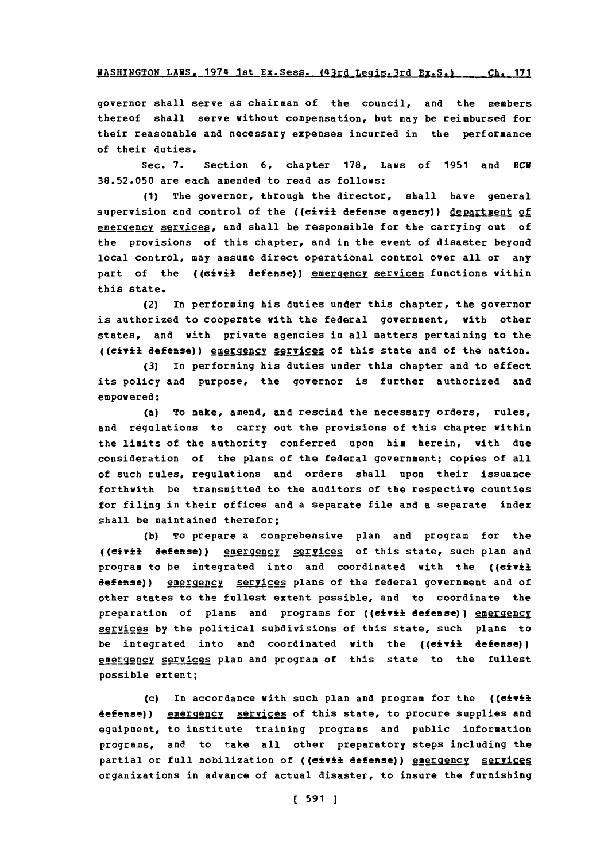**WASHINGTON LAWS, 1974 1st Ex. Sess. (43rd Legis 3rd Ex. S.)** Ch. 171

governor shall serve as chairman of the council, and the members thereof shall serve without compensation, but may be reimbursed for their reasonable and necessary expenses incurred in the performance of their duties.

Sec. **7.** Section **6,** chapter **178,** Laws of **1951** and RCU **38.52.050** are each amended to read as follows:

**(1)** The governor, through the director, shall have general supervision and control of the ((civil defense agency)) department of emergency services, and shall be responsible for the carrying out of the provisions of this chapter, and in the event of disaster beyond local control, may assume direct operational control over all or any part of the ((civil defense)) energency services functions within this state.

(2) In performing his duties under this chapter, the governor is authorized to cooperate with the federal government, with other states, and with private agencies in all matters pertaining to the ((civil defense)) energency services of this state and of the nation.

**(3)** In performing his duties under this chapter and to effect its policy and purpose, the governor is further authorized and empowered:

(a) To make, amend, and rescind the necessary orders, rules, and regulations to carry out the provisions of this chapter within the limits of the authority conferred upon him herein, with due consideration of the plans of the federal government; copies of all of such rules, regulations and orders shall upon their issuance forthwith be transmitted to the auditors of the respective counties for filing in their offices and a separate file and a separate index shall be maintained therefor;

**(b)** To prepare a comprehensive plan and program for the ((civil defense)) energency services of this state, such plan and program to be integrated into and coordinated with the ((civil defense)) emergency services plans of the federal government and of other states to the fullest extent possible, and to coordinate the preparation of plans and programs for ((civil defense)) energency services by the political subdivisions of this state, such plans to be integrated into and coordinated with the ((civil defense)) emergency services plan and program of this state to the fullest possible extent;

(c) In accordance with such plan and program for the ((civil defense)) emergency services of this state, to procure supplies and equipment, to institute training programs and public information programs, and to take all other preparatory steps including the partial or full mobilization of ((civil defense)) energency services organizations in advance of actual disaster, to insure the furnishing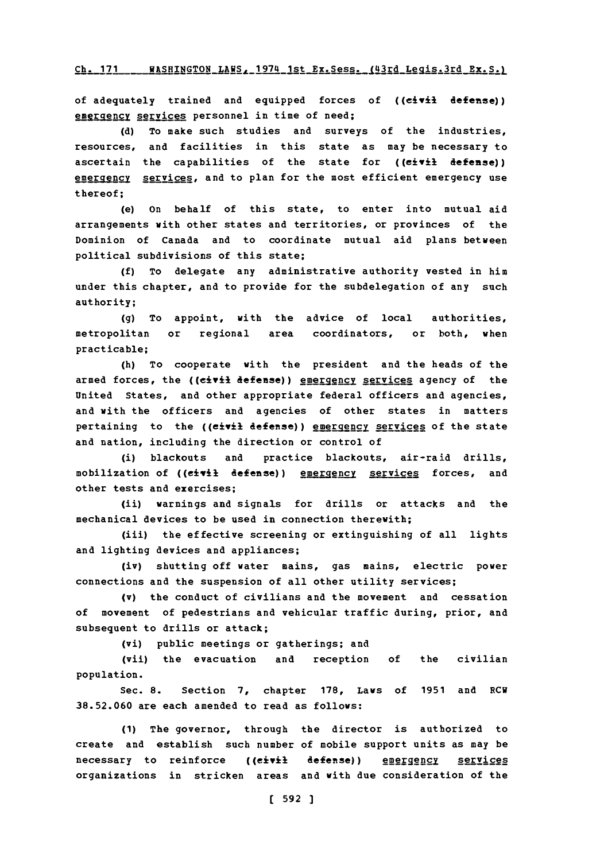#### Ch. 171 WASHINGTON LAWS, 1974 1st Ex. Sess. (43rd Legis.3rd Ex. S.)

of adequately trained and equipped forces of ((civil defense)) emergency services personnel in time of need;

**(d)** To make such studies and surveys of the industries, resources, and facilities in this state as may be necessary to ascertain the capabilities of the state for ((eivil defense)) emergency services, and to plan for the most efficient emergency use thereof;

(e) on behalf of this state, to enter into mutual aid arrangements with other states and territories, or provinces of the Dominion of Canada and to coordinate mutual aid plans between political subdivisions of this state;

**(f)** To delegate any administrative authority vested in him under this chapter, and to provide for the subdelegation of any such authority;

**(g)** To appoint, with the advice of local authorities, metropolitan or regional area coordinators, or both, when practicable;

(h) To cooperate with the president and the heads of the armed forces, the ((civil defense)) emergency services agency of the United States, and other appropriate federal officers and agencies, and with the officers and agencies of other states in matters pertaining to the ((eivil defense)) energency services of the state and nation, including the direction or control of

(i) blackouts and practice blackouts, air-raid drills, mobilization of ((eivil defense)) emergency services forces, and other tests and exercises;

(ii) warnings and signals for drills or attacks and the mechanical devices to be used in connection therewith;

(iii) the effective screening or extinguishing of all lights and lighting devices and appliances;

(iv) shutting off water mains, gas mains, electric power connections and the suspension of all other utility services;

(v) the conduct of civilians and the movement and cessation of movement of pedestrians and vehicular traffic during, prior, and subsequent to drills or attack;

(vi) public meetings or gatherings; and

(vii) the evacuation and reception **of** the civilian population.

Sec. **8.** Section **7,** chapter **178,** Laws of **1951** and **ECW 38.52.060** are each amended to read as follows:

**(1)** The governor, through the director is authorized to create and establish such number of mobile support units as may be necessary to reinforce ((civil defense)) energency services organizations in stricken areas and with due consideration of the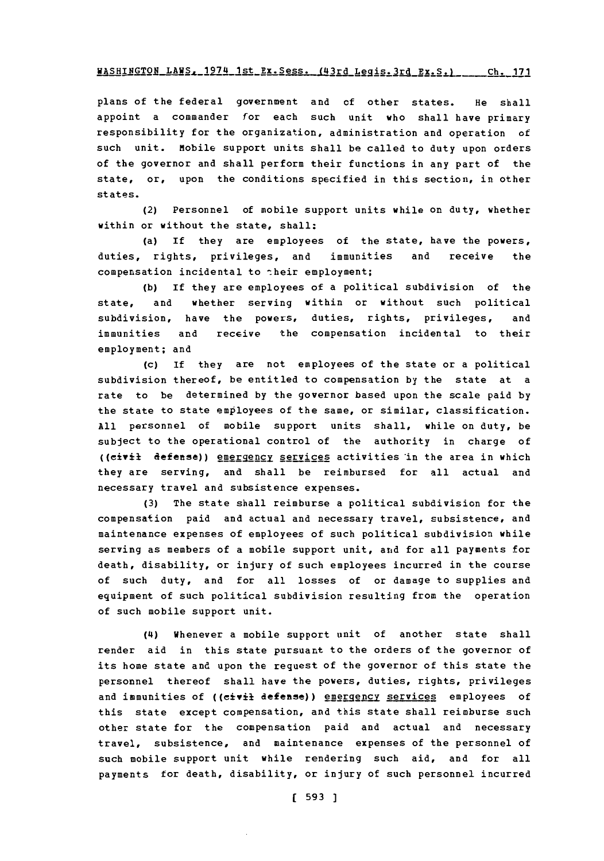## WASHINGTON\_LAWS. 1974\_1st\_Ex. Sess. (43rd\_Legis. 3rd\_Ex. S.) \_\_\_\_\_ Ch. 171

plans of the federal government and of other states. He shall appoint a commander for each such unit who shall have primary responsibility for the organization, administration and operation of such unit. Mobile support units shall be called to duty upon orders of the governor and shall perform their functions in any part of the state, or, upon the conditions specified in this section, in other states.

(2) Personnel of mobile support units while on duty, whether within or without the state, shall:

(a) If they are employees of the state, have the powers, duties, rights, privileges, and immunities and receive the compensation incidental to their employment;

**(b)** If they are employees of a political subdivision of the state, and whether serving within or without such political subdivision, have the powers, duties, rights, privileges, and immunities and receive the compensation incidental to their employment; and

(c) If they are not employees of the state or a political subdivision thereof, be entitled to compensation **by** the state at a rate to be determined **by** the governor based upon the scale paid **by** the state to state employees of the same, or similar, classification. **All** personnel of mobile support units shall, while on duty, be subject to the operational control of the authority in charge of ((civil defense)) energency services activities in the area in which they are serving, and shall be reimbursed for all actual and necessary travel and subsistence expenses.

**(3)** The state shall reimburse a political subdivision for the compensation paid and actual and necessary travel, subsistence, and maintenance expenses of employees of such political subdivision while serving as members of a mobile support unit, and for all payments for death, disability, or injury of such employees incurred in the course of such duty, and for all losses of or damage to supplies and equipment of such political subdivision resulting from the operation of such mobile support unit.

**(L4)** Whenever a mobile support unit of another state shall render aid in this state pursuant to the orders of the governor of its home state and upon the request of the governor of this state the personnel thereof shall have the powers, duties, rights, privileges and immunities of ((civil defense)) energency services employees of this state except compensation, and this state shall reimburse such other state for the compensation paid and actual and necessary travel, subsistence, and maintenance expenses of the personnel of such mobile support unit while rendering such aid, and for all payments for death, disability, or injury of such personnel incurred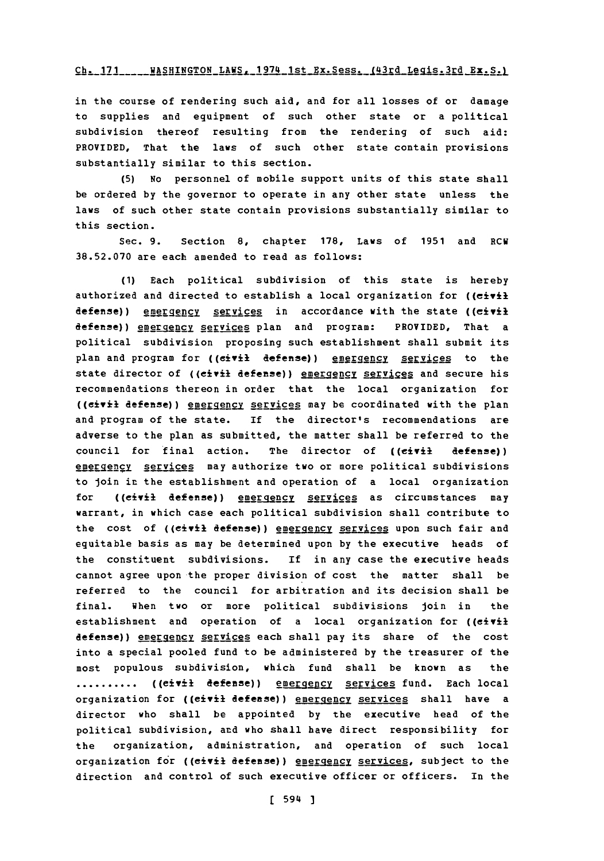## **Ch. 171** WASHINGTON LAWS,\_1974 1st Ex.Sess. (43rd Legis.3rd **Ex. Sa**

in the course of rendering such aid, and for all losses of or damage to supplies and equipment of such other state or a political subdivision thereof resulting from the rendering of such aid: PROVIDED, That the laws of such other state contain provisions substantially similar to this section.

**(5)** No personnel of mobile support units of this state shall be ordered **by** the governor to operate in any other state unless the laws of such other state contain provisions substantially similar to this section.

Sec. **9.** Section **8,** chapter **178,** Laws of **1951** and RCW **38.52.070** are each amended to read as follows:

**(1)** Each political subdivision of this state is hereby authorized and directed to establish a local organization for ( $(c \pm \sqrt{2})$ defense)) energency services in accordance with the state ((civil defense)) energency services plan and program: PROVIDED, That a political subdivision proposing such establishment shall submit its plan and program for ((civil defense)) emergency services to the state director of ((eivil defense)) energency services and secure his recommendations thereon in order that the local organization for ((civil defense)) energency services may be coordinated with the plan and program of the state. If the director's recommendations are adverse to the plan as submitted, the matter shall be referred to the council for final action. The director of **((civil** defense)) emergency services may authorize two or more political subdivisions to loin in the establishment and operation of a local organization for ((civil defense)) energency services as circumstances may warrant, in which case each political subdivision shall contribute to the cost of ((civil defense)) emergency services upon such fair and equitable basis as may be determined upon **by** the executive heads of the constituent subdivisions. **if** in any case the executive heads cannot agree upon the proper division of cost the matter shall be referred to the council for arbitration and its decision shall be final. When two or more political subdivisions join in the establishment and operation of a local organization for ((civil defense)) emergency services each shall pay its share of the cost into a special pooled fund to be administered **by** the treasurer of the most populous subdivision, which fund shall be known as the **..........** ((eivil defense)) energency services fund. Each local organization for ((eivil defense)) energency services shall have a director who shall be appointed **by** the executive head of the political subdivision, and who shall have direct responsibility for the organization, administration, and operation of such local organization for ((civil defense)) energency services, subject to the direction and control of such executive officer or officers. In the

**[** 594 **]**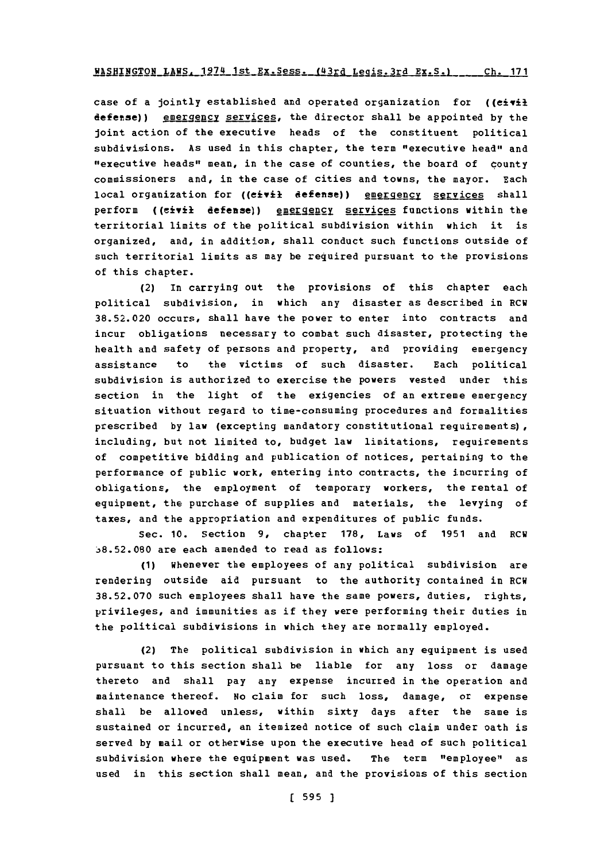## **WASHINGTON LAWS, 1974 1st Ex. Sess. (43rd Legis. 3rd Ex. S.) Ch. 171**

case of a jointly established and operated organization for  $($ ( $e$ i $\overrightarrow{v}$ il defense)) emergency services, the director shall be appointed by the joint action of the executive heads of the constituent political subdivisions. As used in this chapter, the term "executive head" and "executive heads" mean, in the case of counties, the board of county commissioners and, in the case of cities and towns, the mayor. Each local organization for ((eivil defense)) energency services shall perform ((civil defense)) emergency services functions within the territorial limits of the political subdivision within which it is **organized,** and, in addition, shall conduct such functions outside of such territorial limits as may be required pursuant to the provisions of this chapter.

(2) In carrying out the provisions of this chapter each political subdivision, in which any disaster as described in RCW **38.52.020** occurs, shall have the power to enter into contracts and incur obligations necessary to combat such disaster, protecting the health and safety of persons and property, and providing emergency assistance to the victims of such disaster. Each political subdivision is authorized to exercise the powers vested under this section in the light of the exigencies of an extreme emergency situation without regard to time-consuming procedures and formalities prescribed **by** law (excepting mandatory constitutional requirements), including, but not limited to, budget law limitations, requirements of competitive bidding and publication of notices, pertaining to the performance of public work, entering into contracts, the incurring of obligations, the employment of temporary workers, the rental of equipment, the purchase of supplies and materials, the levying of **taxes, and** the appropriation and expenditures of public funds.

Sec. **10.** Section **9,** chapter **178,** Laws of **1951** and RCW **:38.52.080** are each amended to read as follows:

**(1)** Whenever the employees of any political subdivision are rendering outside aid pursuant to the authority contained in RCW **38.52.070** such employees shall have the same powers, duties, rights, privileges, and immunities as if they were performing their duties in the political subdivisions in which they are normally employed.

(2) The political subdivision in which any equipment is used pursuant to this section shall be liable for any loss or damage thereto and shall pay any expense incurred in the operation and maintenance thereof. No claim for such loss, damage, or expense shall be allowed unless, within **sixty** days after the same is sustained or incurred, an itemized notice of such claim under oath is served **by** mail or otherwise upon the executive head of such political subdivision where the equipment was used. The term "employee" as used in this section shall mean, and the provisions of this section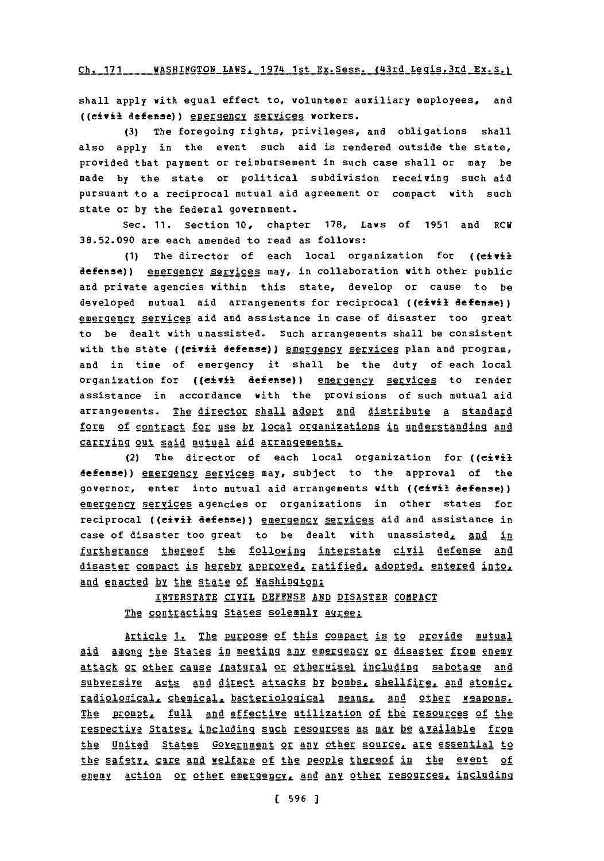Ch. 171 **MASHINGTON LANS 1974 1st Ex. Sess. (43rd Legis 3rd Ex. S.)** 

shall apply with equal effect to, volunteer auxiliary employees, and ((eivil defense)) gggIengg §gevices workers.

**(3)** The foregoing rights, privileges, and obligations shall also apply in the event such aid is rendered outside the state, provided that payment or reimbursement in such case shall or may be made **by** the state or political subdivision receiving such aid pursuant to a reciprocal mutual aid agreement or compact with such state or **by** the federal government.

Sec. **11.** Section **10,** chapter **178,** Laws of **1951** and RCW **38.52.090** are each amended to read as follows:

**(1)** The director of each local organization for ((eivil defense)) emergency services may, in collaboration with other public and private agencies within this state, develop or cause to be developed mutual aid arrangements for reciprocal **((eivil** defense)) emergency services aid and assistance in case of disaster too great to be dealt with unassisted. Such arrangements shall be consistent with the state ((civil defense)) energency services plan and program, and in time of emergency it shall be the duty of each local organization for ((eivil defense)) energency services to render assistance in accordance with the provisions of such mutual aid arrangements. The director shall adopt and distribute a standard form of contract for use by local organizations in understanding and carrying out said mutual aid arrangements.

(2) The director of each local organization for ((eivil defense)) energency services may, subject to the approval of the governor, enter into mutual aid arrangements with ((eivil defense)) emergency services agencies or organizations in other states for reciprocal ((civil defense)) energency services aid and assistance in case of disaster too great to be dealt with unassisted, and in furtherance thereof the following interstate civil defense and disaster compact is hereby approved, ratified, adopted, entered into, and enacted by the state **of** Washingtggi

INTERSTATE CIVIL **DEFENSE AND DISASTER COMPACT** The contracting States solemnly agree:

Article **1.** The Rurpose of this compact is to provide mutual aid amog the States in meeting **any** emergency or disaster from enemy attack or other cause Inatural or otherwise) including sabotage and subversive acts and direct attacks by bombs, shellfire, and atomic, radiological, chemical, bacteriological means, and other weapons. The prompt, full and effective utilization of the resources of the Lespective States, including such resources as may be available from the United States Government or any other source, are essential to the safetr, care and welfare of the people thereof in the event of **gntgy** action or other eaggggy **and** any other resoures, including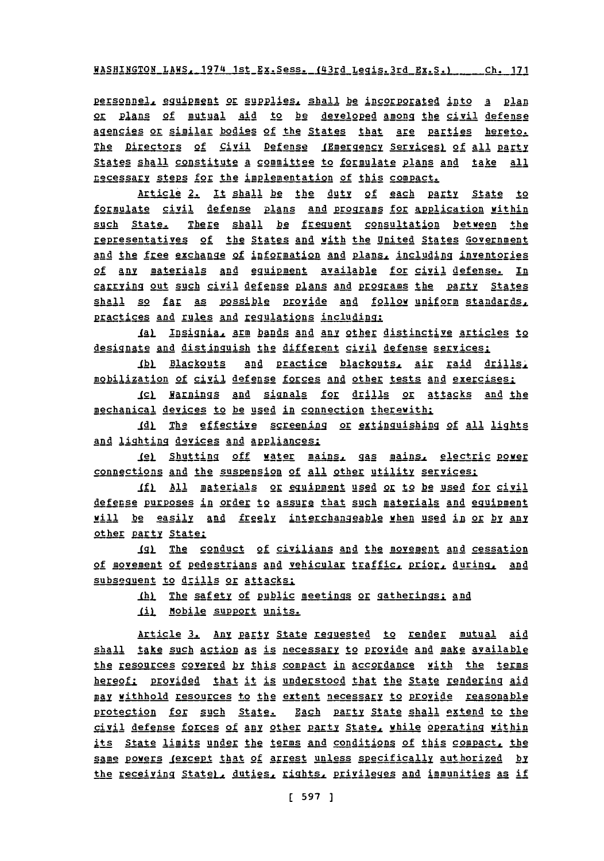WASHINGTON LAWS, 1974 1st Ex. Sess. (43rd Legis. 3rd Ex. S.) .....Ch. 171

personnel, equipment or supplies, shall be incorporated into a plan<br>or plans of mutual aid to be developed among the civil defense agencies or similar bodies of the States that are parties hereto. The Directors of Civil Defense (Emergency Services) of all party States shall constitute a committee to formulate plans and take all necessary steps for the implementation of this compact.

Article 2. It shall be the duty **of** each **par:1** StAte to formulate civil defense plans and programs for application within such State. There shall **be** frequent consultation between the representatives of the States and with the United States Government and the free exchange of information and plans, including inventories of any materials and equipment available for civil defense. In carrying out such civil defense plans and programs the party States shall so far as possible provide and follow uniform standards, practices and rules and regulations including:

**Ial Insignia, arm bands and any other distinctive articles to** designate and distinguish the different civil defense services:

Ib) Blackouts and practice blackouts, air raid drills, mobilization of civil defense forces and other tests and exercises:

Icl Harnings and signals for drills or attacks and the mechanical devices to be used in connection therewith:

**JQ\_ Te2** effective §2enn or extlinquishing **of** all light and lighting devices and appliances:

jel Shutting off water mains, gas mains, electric power connections and the suspension of all other utility services:

If) All materials or equipment used or to be used for civil defense purposes in order to assure that such materials and equipment will be easily and freely interchangeable when used in or by any other party State:

**IG)** The conduct of civilians and the movement and cessation of movement of pedestrians and vehicular traffic, prior, during, and subsequent to drills or attacks:

.LhI The safety **of** publlic meetings or gatherings.1 **ad**

(i) Mobile support units.

Article 3. Any party State requested to render mutual aid shall take such action as is necessary to provide and make available thg esouces covered **by** this compact in accordance with the terms hereof: provided that it is understood that the State rendering aid **Zaly** withhold resources to the extent necessary to Provide reasonable protection for such State. Each party State shall extend to the civil defense forces of any other party State, while operating within its State limits under the terms and conditions of this compact, the same powers <u>(except that of arrest unless specifically authorized</u> by the receiving State), duties, rights, privileges and immunities as if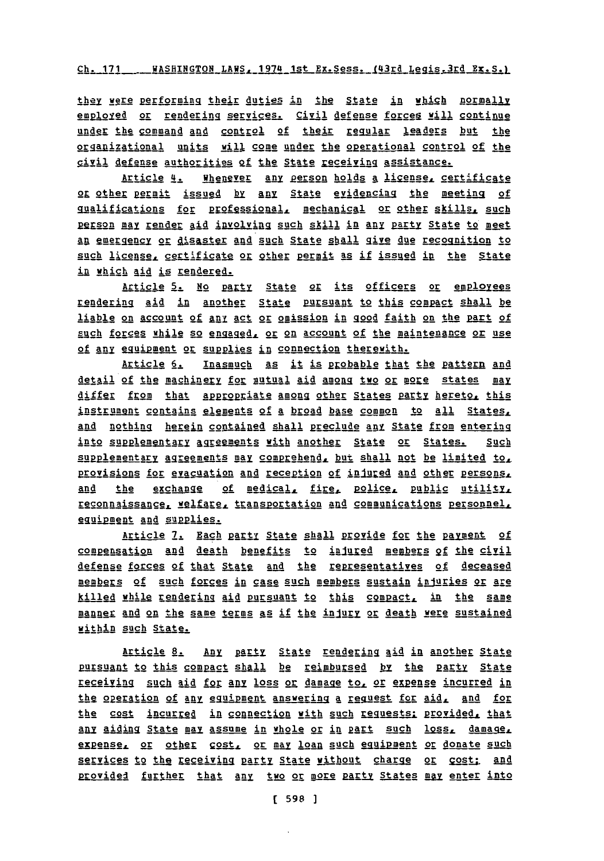Ch. 171 \_\_\_\_ WASHINGTON LAWS, 1974 1st Ex. Sess. (43rd Legis.3rd Ex. S.)

they were performing their duties in the State in which normally employed or rendering services. Civil defense forces will continue under the command **and** control of their pegglar leaders but the organizational units will come under the operational control of the civil defense authorities of the State eceiving assistance.

Article 4. Whenever any person holds a ligense, certificate 2L other germit issued by any State evidencing the meeting **of** gualifications for professional, mechanical or other skills, such person may render aid involving such skill in any party State to meet an emergency or disaster and such State shall give due recognition to such license, certificate or other permit as if issued in the State in which aid is rendered.

Article 5. No party State or its officers or employees rendering aid in another State pursuant to this compact shall be liable on account of **1ny** act or omission in good faith on the part of such forces while so engaged, or on account of the maintenance or use of any equipment or supplies in connection therewith.

Article 6. Inasmuch as it is probable that the pattern and detail of the machinery for mutual aid among two or more states may differ from that appropriate among other States party hereto, this instrument contains elements of a broad base common to all States, and nothing herein contained shall preclude **any** State from entering into supplementary agreements with another State or States. Such &rRplementaly Areements **may** goar ehend but shall not be limited **to.** provisions for evacuation and reception of injured and other persons, and the exchange of medical, fire, police, public utility, reconnaissance, welfare, transportation and communications personnel, equipment and supplies.

Article 7. Each party State shall provide for the payment of go82ensation and death benefits to injined **Mg1gsK gf** the civil defense forces of that Statg **and** the reggesentatives of deceased members of such forces in case such members sustain injuries or are killed while rendering aid pursuant to this compact, in the same manner and on the same terms as if the injury or death were sustained within such State.

Article 8. Any party State rendering aid in another State pursuant to this compact shall be reimbursed by the party State receiving such aid for any loss or damage to, or expense incurred in the operation of any equipment answering a request for aid, and for the cost incurrgd in connection with such reguests: provided. that any aiding State may assume in whole or in part such loss, damage, expense, or other cost, or may loan such equipment or donate such services to the receiving party State without charge or cost; and provided further that any two or more party States may enter into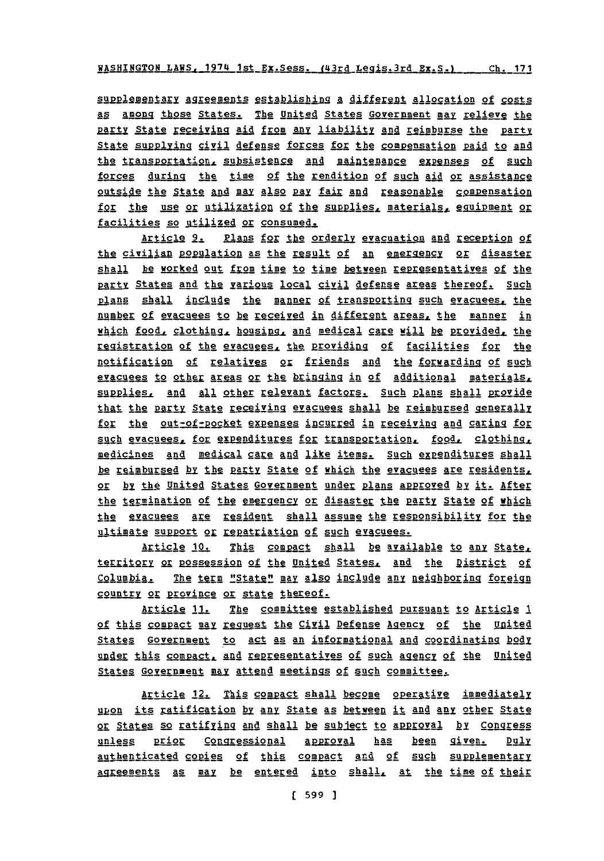supplementary agreements establishing a different allocation of costs **As** Among those States. The United States Government may relievg the party State receiving aid from any liability and reimburse the party State supplying civil defense forces for the compensation paid to and the transportation, subsistence and maintenance expenses of such forces during the time **of** the rendition of such aid or assistance outside the State **MA also** pay fair and reasonable comebnsation for the use or utilization of the supplies, materials, equipment or facilities so utilized or consumed.

Article 9. Plans for the orderly evacuation and reception of the civilian poglation as the Egsult **of** an emergggy or disaster shall be worked out from time to time between representatives of the Party States and thg various local civil defense areas thereof. Such plans shall include the manner of transporting such evacuees, the number of evacuees to be received in different areas, the manner in which food, clothing, housing, and medical care will be provided, the Eggistration of the evacusggg the providing **of** facilities for the notification of relatives or friends and the forwarding of such evacuees to other areas or the bringing in of additional materials, supplies, and all other relevant factors. Such plans shall provide that the party State receiving evacuees shall be reimbursed generally for the out-of-pocket expenses incurred in receiving and caring for such evacuees, for expenditures for transportation, food, clothing, medicines and medical care and like items. Such expenditures shall be reimbursed by the party State of which the evacuees are residents. or by the United States Government under plans approved by it. After the termination of the emergency or disaster the party State of which the gracuees are resident shall assume the respgnsibility for the ultimate support or repatriation of such evacuees.

Article **10.** This compact shall be available to any State. territory or possession of the United States, and the District of Columbia. The term "State" may also include any neighboring foreign country or province or state thereof.

Article 11. The committee established pursuant to Article 1 of this col2act may rgguest **thg** Civil Defense AgencY **of** the United States Government to act as an informational and coordinating body under this compact, and representatives of such agency of the United States Government may attend meetings of such committee.

Article 12. This compact shall become operative immediately upon its ratification by any State as between it and any other State or States so ratifying and shall be subject to approval by Congress unless prior Congressional approval has been given. Duly authenticated copies of this compact and of such supplementary agreements as may be entered into shall, at the time of their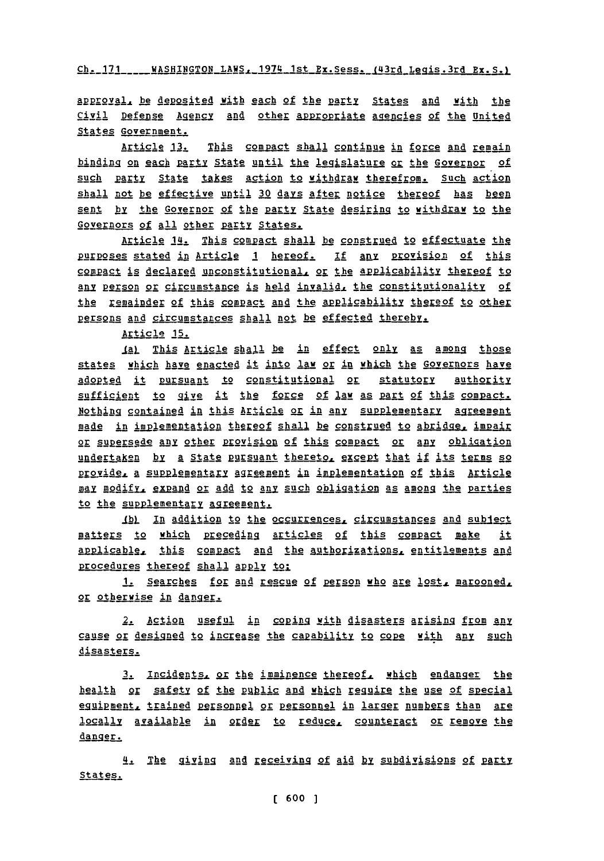**Ch. 171** WASHINGTON LAWSr 1974 1st Ex.Sess. (43rd Legis.3rd Ex.S.)

APprova1. be deposited with each of the **pa&y** StAtes **and** with the Civil Defense Agency and other appropriate agencies of the United States Government.

Article **13.** This compact shall continue in force and remain binding on each party State until the legislature or the Governor of such party State takes action to withdraw therefrom. Such action shall not be effective until 30 days after notice thereof has been sent **by** the Governor of the party State desiring to withdraw to the Governors of all other party States.

Article 14. This compact shall be construed to effectuate the Purposes stated in Article 1 hereof. If any provision of this compact is declared unconstitutional, or the applicability thereof to any person or circumstance is held invalid, the constitutionality of the remainder of this compact and the applicability thereof to other persons and circumstances shall not be effected thereby.

Article **15.**

Ial This Article shall be in effect only as among those states which have enacted it into law or in which the Governors have adopted it pursuant to constitutional or statutory authority sufficient to give it the force of law as part of this compact. Nothing contained in this Article or in any supplementary agreement made in implementation thereof shall be construed to abridge, impair 2E E3parsede any other pryision of this ggpact or **any** obligation undertaken by a State pursuant thereto, except that if its terms so provide, a supplementary agreement in implementation of this Article may modify, expand or add to any such obligation as among the parties to the supplementary agreement.

Ibl In addition to the occurrences, circumstances and subject matters to which preceding articles of this compact make it applicable, this compact and the authorizations, entitlements and procedures thereof shall apply to:

1. Searches for and rescue of person who are lost, marooned, or otherwise in danggr

2. Action useful in coping yith disasters arising from any cause or designed to increase the capability to cope with any such disasters.

**3.** Ingjdqptpg or the imminence thereof. which endanger the health or safety **of** the pgqlic and which rgguire the use of special eguipment, trained personnel or personnel in larger numbers than are locally available in order to reduce, counteract or remove the danger.

4. The giving and receiving **of** aid **by** subdivisions of pArtv States.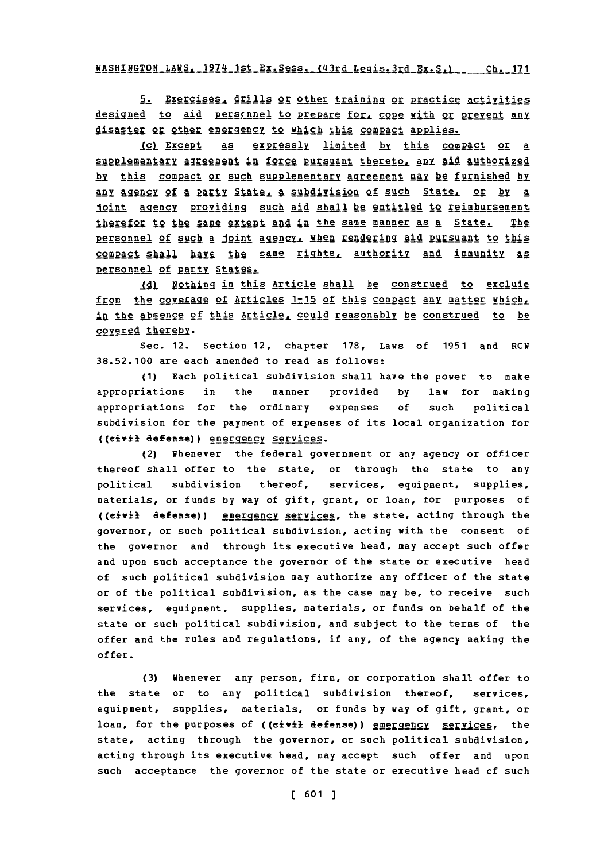WASHINGTON LAWS. 1974 1st Ex. Sess. (43rd Legis. 3rd Ex. S.) ch. 171

**5.** Exercises, drills or other training or practice activities designed to aid pers<u>canel to prepare for, cope with or</u> prevent any disaster or other emergency to which this compact applies.

1g)1ggt **As** exprEs§Iy limited **by** this compact or **a** supplementary agreement in force pursuant thereto, any aid authorized by this compact or such supplementary agreement may be furnished by Any ency **of a** Party Statez **a** subdiyision of such State or **by** a joint agency providing such aid shall be entitled to reimbursement therefor to the same extent and in the same manner as a State. The personnel of such a joint agency, when rendering aid pursuant to this 22cact shall **havg** !h2 **EMp** 1iggtg authrill **AR4** immunity as personnel of party States.

**1L** lothing in this Article shall be construed to exclude from the coveragg of Articles **1-15** of this compact **any** matter which, in the absence of this Article, could reasonably be construed to be covered thereby.

Sec. 12. Section 12, chapter **178,** Laws of **1951** and RCW **38.52.100** are each amended to read as follows:

**(1)** Each political subdivision shall have the power to make appropriations in the manner provided **by** law for making appropriations for the ordinary expenses **of** such political subdivision for the payment of expenses of its local organization for ((eivil defense)) emergency services.

(2) Whenever the federal government or any agency or officer thereof shall offer to the state, or through the state to any political subdivision thereof, services, equipment, supplies, materials, or funds **by** way of gift, grant, or loan, for purposes of ((eivil defense)) energency services, the state, acting through the governor, or such political subdivision, acting with the consent of the governor and through its executive head, may accept such offer and upon such acceptance the governor of the state or executive head of such political subdivision may authorize any officer of the state or of the political subdivision, as the case may be, to receive such services, equipment, supplies, materials, or funds on behalf of the state or such political subdivision, and subject to the terms of the offer and the rules and regulations, if any, of the agency making the offer.

**(3)** Whenever any person, firm, or corporation shall offer to the state or to any political subdivision thereof, services, equipment, supplies, materials, or funds **by** way of gift, grant, or loan, for the purposes of ((civil defense)) emergency services, the state, acting through the governor, or such political subdivision, acting through its executive head, may accept such offer and upon such acceptance the governor of the state or executive head of such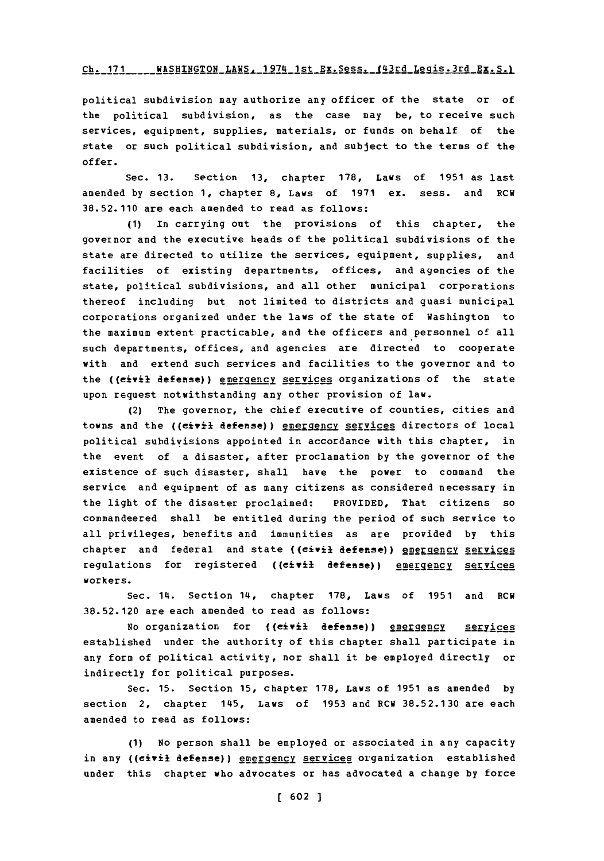## **Chi. 17 1** WASHINGTONLAWS, 1974 1st Ex.Sess. (43rd Legis.3rd **EX.S.)**

political subdivision may authorize any officer of the state or of the political subdivision, as the case may be, to receive such services, equipment, supplies, materials, or funds on behalf of the state or such political subdivision, and subject to the terms of the offer.

Sec. **13.** Section **13,** chapter **178,** Laws of **1951** as last amended **by** section **1,** chapter **8,** Laws of **1971** ex. sess. and **RCW 38.52.110** are each amended to read as follows:

**(1)** In carrying out the provisions of this chapter, the governor and the executive heads of the political subdivisions of the state are directed to utilize the services, equipment, supplies, and facilities of existing departments, offices, and agencies of the state, political subdivisions, and all other municipal corporations thereof including but not limited to districts and quasi municipal corporations organized under the laws of the state of Washington to the maximum extent practicable, and the officers and personnel of all such departments, offices, and agencies are directed to cooperate with and extend such services and facilities to the governor and to the ((civil defense)) energency services organizations of the state upon request notwithstanding any other provision of law.

(2) The governor, the chief executive of counties, cities and towns and the ((eivil defense)) energency services directors of local political subdivisions appointed in accordance with this chapter, in the event of a disaster, after proclamation **by** the governor of the existence of such disaster, shall have the power to command the service and equipment of as many citizens as considered necessary in the light of the disaster proclaimed: PROVIDED, That citizens so commandeered shall be entitled during the period of such service to all privileges, benefits and immunities as are provided **by** this chapter and federal and state ((civil defense)) emergency services regulations for registered ((civil defense)) energency services workers.

Sec. 14. Section 14, chapter **178,** Laws of **1951** and RCW **38.52.120** are each amended to read as follows:

No organization for ((civil defense)) emergency services established under the authority **of** this chapter shall participate in any form of political activity, nor shall it be employed directly or indirectly for political purposes.

Sec. **15.** section **15,** chapter **178,** Laws of **1951** as amended **by** section 2, chapter 145, Laws of **1953** and RCW **38.52.130** are each amended to read as follows:

**(1)** No person shall be employed or associated in any capacity in any ((civil defense)) energency services organization established under this chapter who advocates or has advocated a change **by** force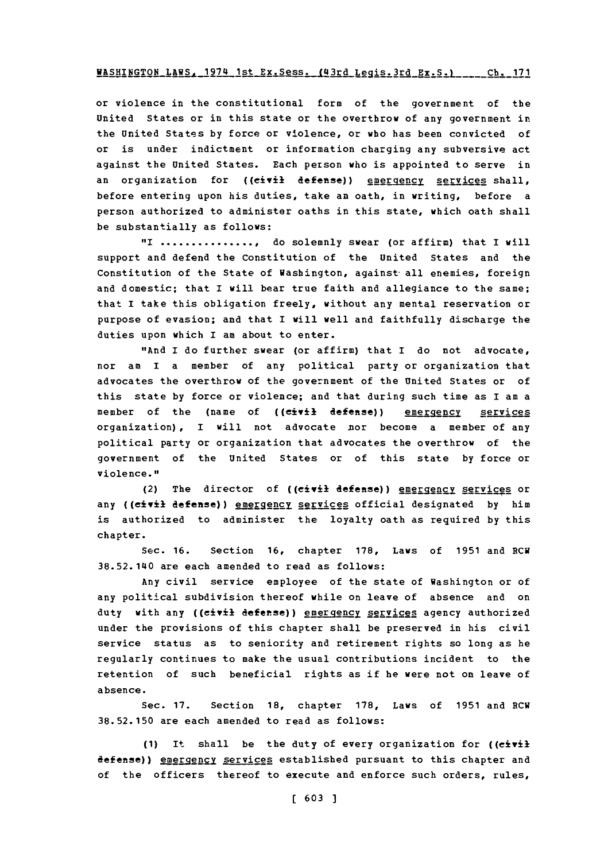#### **WASHINGTON LAWS, 1974 1st Ex. Sess. (43rd Legis. 3rd Ex. S.) ... Ch. 171**

or violence in the constitutional form of the government of the United States or in this state or the overthrow of any government in the United Statss **by** force or violence, or who has been convicted of or is under indictment or information charging any subversive act against the United States. Each person who is appointed to serve in an organization for ((civil defense)) energency services shall, before entering upon his duties, take an oath, in writing, before a person authorized to administer oaths in this state, which oath shall be substantially as follows:

**"I.................** do solemnly swear (or affirm) that I will support and defend the Constitution of the United States and the Constitution of the State of Washington, against-all enemies, foreign and domestic; that I will bear true faith and allegiance to the same; that I take this obligation freely, without any mental reservation or purpose of evasion; and that I will well and faithfully discharge the duties upon which I am about to enter.

"And I do further swear (or affirm) that I do not advocate, nor am I a member of any political party or organization that advocates the overthrow of the government of the United States or of this state **by** force or violence; and that during such time as I am a member of the (name of ((civil defense)) emergency services organization) **,** I will not advocate nor become a member of any political party or organization that advocates the overthrow of the government of the United States or of this state **by** force or violence."

(2) The director of ((civil defense)) emergency services or any ((civil defense)) emergency services official designated by him is authorized to administer the loyalty oath as required **by** this chapter.

Sec. **16.** Section **16,** chapter **178,** Laws of **1951** and RCW **38.52.140** are each amended to read as follows:

Any civil service employee of the state of Washington or of any political subdivision thereof while on leave of absence and on duty with any ((civil defense)) energency services agency authorized under the provisions of this chapter shall be preserved in his civil service status as to seniority and retirement rights so long as he regularly continues to make the usual contributions incident to the retention of such beneficial rights as if he vere not on leave of absence.

Sec. **17.** Section **18,** chapter **178,** Laws of **1951** and RCW **38.52.150** are each amended to read as follows:

**(1)** It shall be the duty of every organization for ((civil defense)) emergency services established pursuant to this chapter and of the officers thereof to execute and enforce such orders, rules,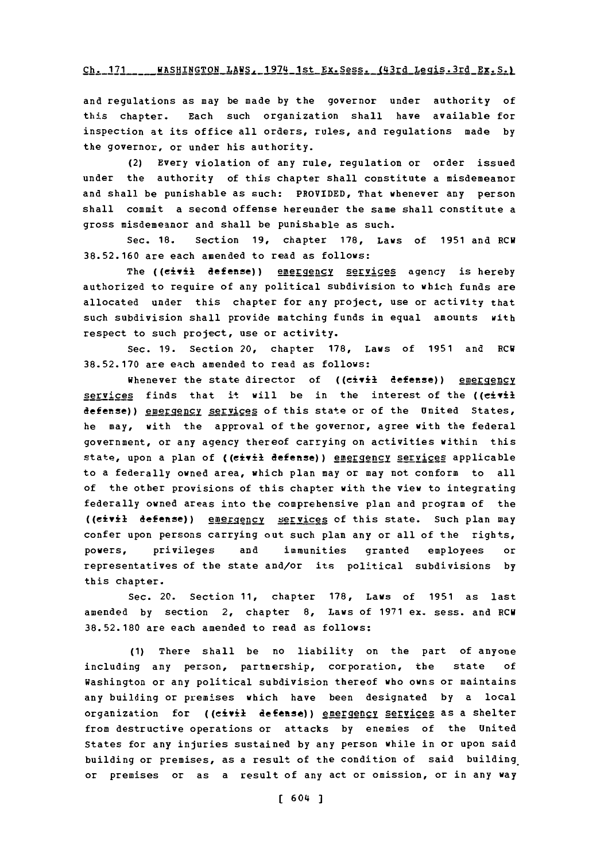#### **Chi. 171** \_WASHINGTON LAWS.-1974 1st Ex.Sess..J11ja Jigj-3rd **-f-)**

and regulations as may be made **by** the governor under authority of this chapter. Each such organization shall have available for inspection at its office all orders, rules, and regulations made **by** the governor, or under his authority.

(2) Every violation of any rule, regulation or order issued under the authority of this chapter shall constitute a misdemeanor and shall be punishable as such: PROVIDED, That whenever any person shall commit a second offense hereunder the same shall constitute a gross misdemeanor and shall be punishable as such.

Sec. **18.** Section **19,** chapter **178,** Laws of **1951** and RCW **38.52.160** are each amended to read as follows:

The ((civil defense)) energency services agency is hereby authorized to require of any political subdivision to which funds are allocated under this chapter for any project, use or activity that such subdivision shall provide matching funds in equal amounts with respect to such project, use or activity.

Sec. **19.** Section 20, chapter **178,** Laws of **1951** and RCW **38.52.170** are each amended to read as follows:

Whenever the state director of ((civil defense)) emergency services finds that it will be in the interest of the ((civil defense)) emergency services of this state or of the United States, he may, with the approval of the governor, agree with the federal government, or any agency thereof carrying on activities within this state, upon a plan of ((eivil defense)) energency services applicable to a federally owned area, which plan may or may not conform to all of the other provisions of this chapter with the view to integrating federally owned areas into the comprehensive plan and program of the **((civil defense))** energency services of this state. Such plan may confer upon persons carrying out such plan any or all of the rights, powers, privileges and immunities granted employees or representatives of the state and/or its political subdivisions **by** this chapter.

Sec. 20. Section **11,** chapter **178,** Laws of **1951** as last amended **by** section 2, chapter **8,** Laws of **1971** ex. sess. and RCW **38.52.180** are each amended to read as follows:

**(1)** There shall be no liability on the part of anyone including any person, partnership, corporation, the state **of** Washington or any political subdivision thereof who owns or maintains any building or premises which have been designated **by** a local organization for ((civil defense)) energency services as a shelter from destructive operations or attacks **by** enemies of the United States for any injuries sustained **by** any person while in or upon said building or premises, as a result of the condition of said building. or premises or as a result of any act or omission, or in any way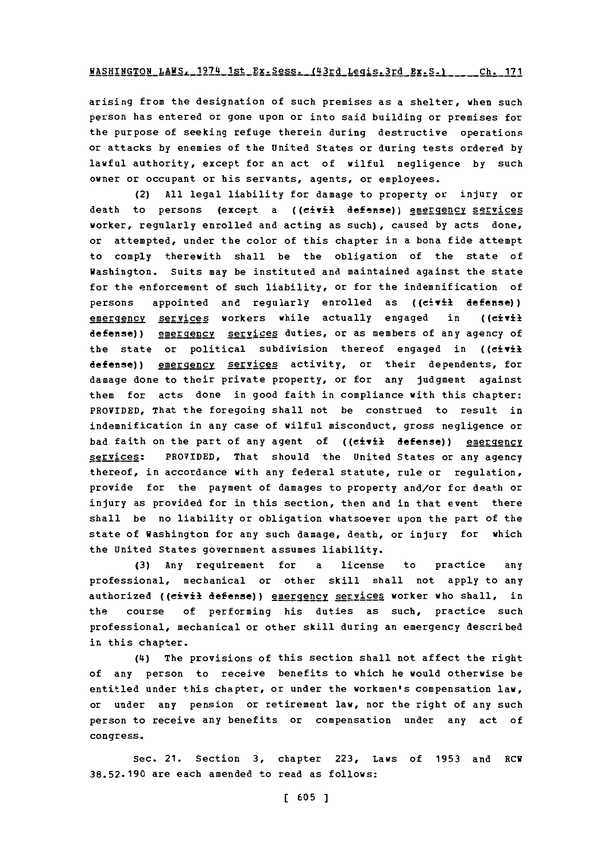$KASHINGTON\_LAKS.$ 1974.1st\_Ex.Sess. (43rd\_Legis.3rd\_Ex.S.)

arising from the designation of such premises as a shelter, when such person has entered or gone upon or into said building or premises for the purpose of seeking refuge therein during destructive operations or attacks **by** enemies of the United States or during tests ordered **by** lawful authority, except for an act of wilful negligence **by** such owner or occupant or his servants, agents, or employees.

(2) **All** legal liability for damage to property or injury or death to persons (except a ((civil defense)) emergency services worker, regularly enrolled and acting as such), caused **by** acts done, or attempted, under the color of this chapter in a bona fide attempt to comply therewith shall be the obligation of the state of Washington. Suits may be instituted and maintained against the state for the enforcement of such liability, or for the indemnification of persons appointed and regularly enrolled as **((civil** defense)) emergency services workers while actually engaged in ((civil defense)) emergency services duties, or as members of any agency of the state or political subdivision thereof engaged in ((civil defense)) emergency services activity, or their dependents, for damage done to their private property, or for any judgment against them for acts done in good faith in compliance with this chapter: PROVIDED, That the foregoing shall not be construed to result in indemnification in any case of wilful misconduct, gross negligence or bad faith on the part of any agent of ((civil defense)) emergency services: PROVIDED, That should the United States or any agency thereof, in accordance with any federal statute, rule or regulation, provide for the payment of damages to property and/or for death or injury as provided for in this section, then and in that event there shall be no liability or obligation whatsoever upon the part of the state of Washington for any such damage, death, or injury for which the United States government assumes liability.

**(3)** Any requirement for a license to practice any professional, mechanical or other skill shall not apply to any authorized ((civil defense)) energency services worker who shall, in the course of performing his duties as such, practice such professional, mechanical or other skill during an emergency described in this chapter.

(4) The provisions of this section shall not affect the right of any person to receive benefits to which he would otherwise be entitled under this chapter, or under the workmen's compensation law, or under any pension or retirement law, nor the right of any such person to receive any benefits or compensation under any act of congress.

Sec. 21. Section **3,** chapter **223,** Laws of **1953** and RCV **38.52.190** are each amended to read as follows: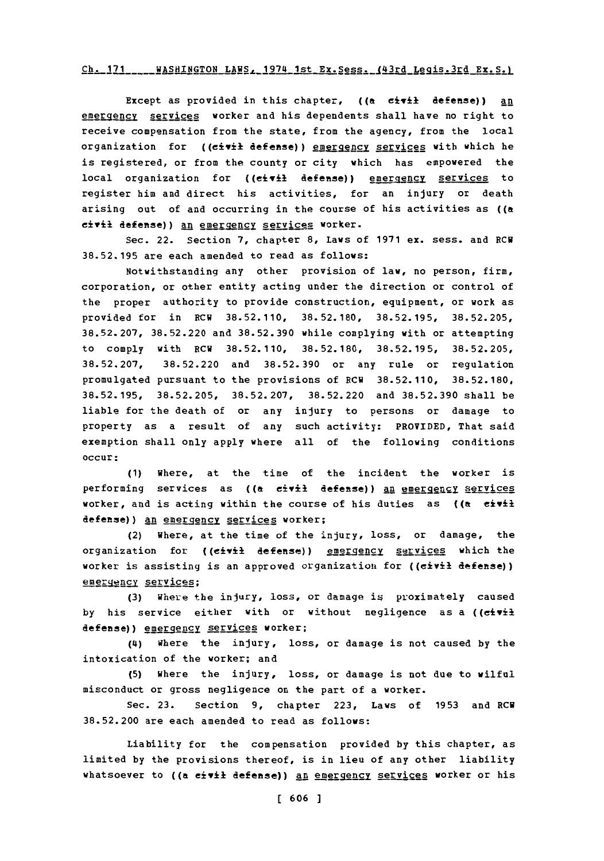## Ch. 171 \_\_\_\_ WASHINGTON LAWS, 1974 1st Ex. Sess. (43rd Legis.3rd Ex. S.)

Except as provided in this chapter, **((&** civil defense)) an emergency services worker and his dependents shall have no right to receive compensation from the state, from the agency, from the local organization for ((civil defense)) energency services with which he is registered, or from the county or city which has empowered the local organization for ((eivil defense)) energency services to register him and direct his activities, for an injury or death arising out of and occurring in the course of his activities as **((a** civil defense)) an emergency services worker.

Sec. 22. Section **7,** chapter **8,** Laws of **1971** ex. sess. and ECU **38.52.195** are each amended to read as follows:

Notwithstanding any other provision of law, no person, firm, corporation, or other entity acting under the direction or control of the proper authority to provide construction, equipment, or work as provided for in ECU **38.52.110, 38.52.180, 38.52.195, 38.52.205, 38.52.207, 38.52.220** and **38.52.390** while complying with or attempting to comply with ECU **38.52.110, 38.52.180, 38.52.195, 38.52.205, 38.52.207, 38.52.220** and **38.52.390** or any rule or regulation promulgated pursuant to the provisions of ECU **38.52.110, 38.52.180, 38.52.195, 38.52.205, 38.52.207, 38.52.220** and **38.52.390** shall be liable for the death of or any injury to persons or damage to property as a result of any such activity: PROVIDED, That said exemption shall only apply where all of the following conditions occur:

**(1)** Where, at the time of the incident the worker is performing services as ((a civil defense)) an emergency services worker, and is acting within the course of his duties as **((&** eivil defense)) an emergency services worker;

(2) Where, at the time of the injury, loss, or damage, the organization for ((civil defense)) **emergency** services which the worker is assisting is an approved organization for ((civil defense)) emergency services;

(3) Where the injury, loss, or damage is proximately caused by his service either with or without negligence as a ((civil defense)) energency services worker;

(4) Where the injury, loss, or damage is not caused **by** the intoxication of the worker; and

**(5)** Where the injury, loss, or damage is not due to wilful misconduct or gross negligence on the part of a worker.

Sec. **23.** Section **9,** chapter **223,** Laws of **1953** and ECU **38.52.200** are each amended to read as follows:

Liability for the compensation provided **by** this chapter, as limited **by** the provisions thereof, is in lieu of any other liability whatsoever to ((a civil defense)) an emergency services worker or his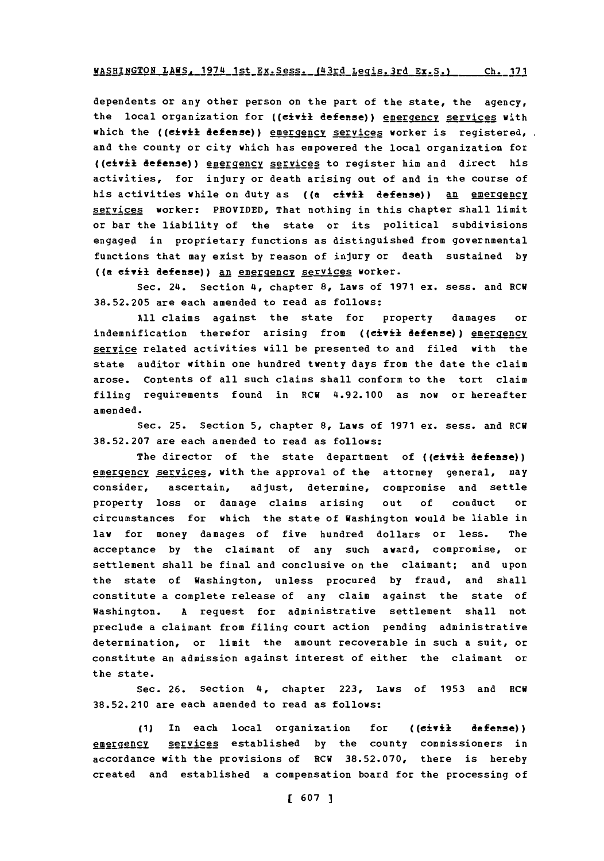# **WASHINGTON LAWS, 1974 1st Ex. Sess. (43rd Legis. 3rd Ex. S.) ch. 171**

dependents or any other person on the part of the state, the agency, the local organization for ((civil defense)) emergency services with which the ((civil defense)) emergency services worker is registered, and the county or city which has empowered the local organization for ((civil defense)) energency services to register him and direct his activities, for injury or death arising out of and in the course of his activities while on duty as ((a civil defense)) an emergency services worker: PROVIDED, That nothing in this chapter shall limit or bar the liability of the state or its political subdivisions engaged in proprietary functions as distinguished from governmental functions that may exist **by** reason of injury or death sustained **by** ((a eivil defense)) an emergency services worker.

Sec. 24. Section **(4,** chapter **8,** Laws of **1971** ex. sess. and RCU **38.52.205** are each amended to read as follows:

**All** claims against the state for property damages or indemnification therefor arising from ((civil defense)) emergency service related activities will be presented to and filed with the state auditor within one hundred twenty days from the date the claim arose. Contents of all such claims shall conform to the tort claim filing requirements found in RCW 4.92.100 as now or hereafter amended.

Sec. **25.** Section **5,** chapter **8,** Laws of **1971** ex. sess. and RCW **38.52.207** are each amended to read as follows:

The director of the state department of ((civil defense)) emergency services, with the approval of the attorney general, may consider, ascertain, adjust, determine, compromise and settle property loss or damage claims arising out **of** conduct or circumstances for which the state of Washington would be liable in law for money damages of five hundred dollars or less. The acceptance **by** the claimant of any such award, compromise, or settlement shall be final and conclusive on the claimant; and upon the state of Washington, unless procured **by** fraud, and shall constitute a complete release of any claim against the state **of** Washington. **A** request for administrative settlement shall not preclude a claimant from filing court action pending administrative determination, or limit the amount recoverable in such a suit, or constitute an admission against interest of either the claimant or the state.

Sec. **26.** Section **(4,** chapter **223,** Laws of **1953** and **ECU 38.52.210** are each amended to read as follows:

**(1)** In each local organization for ((eiY±l defense)) emergency services established by the county commissioners in accordance with the provisions of ECU **38.52.070,** there is hereby created and established a compensation board for the processing of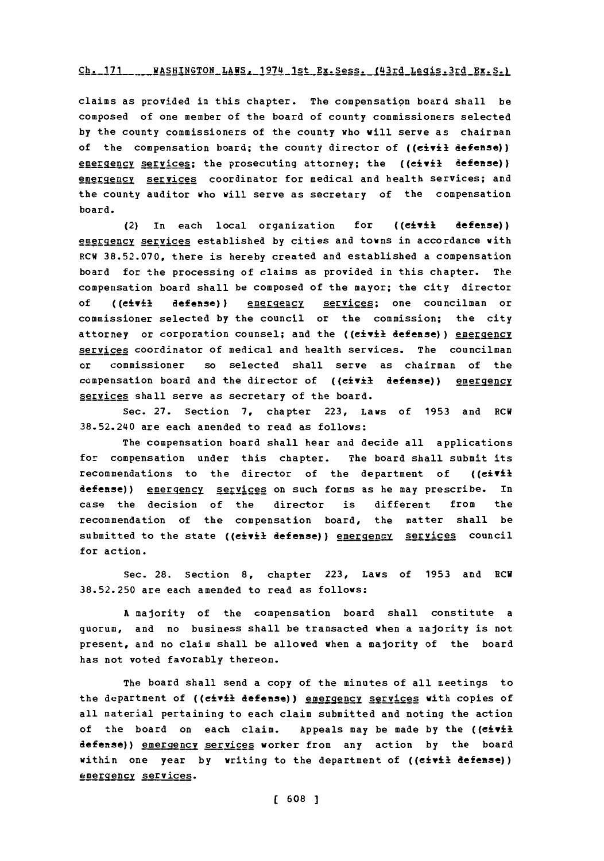## **Ch. 171** WASH ING-TON LA **VS** *.* **94-1s** Ex.Sess. (4rdLegqis.3rd **EX.S.)**

claims as provided in this chapter. The compensation board shall be composed of one member of the board of county commissioners selected **by** the county commissioners of the county who will serve as chairman of the compensation board; the county director of ((civil **defense))** energency services; the prosecuting attorney; the ((civil defense)) emergency services coordinator for medical and health services; and the county auditor who will serve as secretary of the compensation board.

(2) In each local organization for **((Civil** defense)) emergency services established by cities and towns in accordance with RCW **38.52.070,** there is hereby created and established a compensation board for the processing of claims as provided in this chapter. The compensation board shall be composed of the mayor; the city director of ((civil defense)) emergency services; one councilman or commissioner selected **by** the council or the commission; the city attorney or corporation counsel; and the ((civil defense)) energency services coordinator of medical and health services. The councilman or commissioner so selected shall serve as chairman of the compensation board and the director of ((civil defense)) emergency services shall serve as secretary of the board.

Sec. **27.** Section **7,** chapter **223,** Laws of **1953** and RCW **38.52.240** are each amended to read as follows:

The compensation board shall hear and decide all applications for compensation under this chapter. The board shall submit its recommendations to the director of the department of ((civil defense)) energency services on such forms as he may prescribe. In case the decision of the director is different from the recommendation of the compensation board, the matter shall be submitted to the state ((civil defense)) energency services council for action.

sec. **28.** Section **8,** chapter **223,** Laws of **1953** and RCN **38.52.250** are each amended to read as follows:

**A** majority of the compensation board shall constitute a quorum, and no business shall be transacted when a majority is not present, and no claim shall be allowed when a majority of the board has not voted favorably thereon.

The board shall send a copy of the minutes of all meetings to the department of ((civil defense)) emergency services with copies of all material pertaining to each claim submitted and noting the action of the board on each claim. Appeals may be made **by** the ((civil defense)) emergency services worker from any action **by** the board within one year **by** writing to the department of ((civil defense)) emergency services.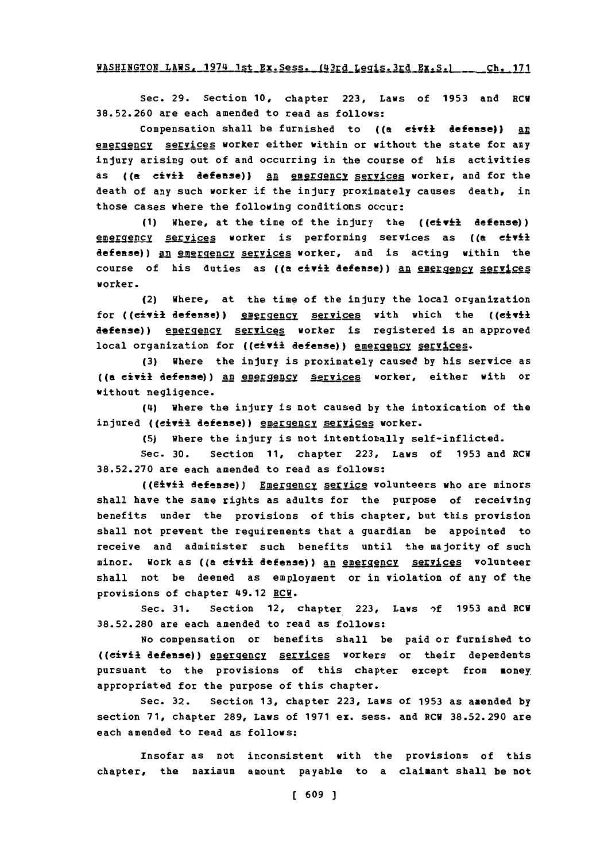WASHINGTON LAWS. 1974 1st Ex. Sess. (43rd Legis. 3rd Ex. S.) Ch. 171

Sec. **29.** Section **10,** chapter **223,** Laws of **1953** and RCV **38.52.260** are each amended to read as follows:

Compensation shall be furnished to ((a civil defense)) an emergency services worker either within or without the state for any injury arising out of and occurring in the course of his activities as **((a** civil **defense)) an** emergencv services worker, and for the death of any such worker if the injury proximately causes death, in those cases where the following conditions occur:

**(1)** Where, at the time of the injury the ((civil defense)) emergency services worker is performing services as ((a eivil defense)) an emergency services worker, and is acting within the course of his duties as ((a civil defense)) an energency services worker.

(2) Where, at the time of the injury the local organization for ((civil defense)) emergency services with which the ((civil defense)) energency services worker is registered is an approved local organization for ((civil defense)) emergency services.

**(3)** where the injury is proximately caused **by** his service as ((a civil defense)) An emergency services worker, either with or without negligence.

(4) where the injury is not caused **by** the intoxication of the injured ((civil defense)) emergency services worker.

**(5)** where the injury is not intentionally self-inflicted.

Sec. **30.** Section **11,** chapter **223,** Laws of **1953** and ECU **38.52.270** are each amended to read as follows:

((eivil defense)) Energency service volunteers who are minors shall have the same rights as adults for the purpose of receiving benefits under the provisions of this chapter, but this provision shall not prevent the requirements that a guardian be appointed to receive and administer such benefits until the majority of such minor. Work as ((a civil defense)) an energency services volunteer shall not be deemed as employment or in violation of any of the provisions of chapter 49.12 RCW.

Sec. **31.** section 12, chapter **223,** Laws **,)f 1953** and **ECU 38.52.280** are each amended to read as follows:

No compensation or benefits shall be paid or furnished to ((civil defense)) energency services workers or their dependents pursuant to the provisions of this chapter except from money appropriated for the purpose of this chapter.

Sec. **32.** Section **13,** chapter **223,** Laws of **1953** as amended **by** section **71,** chapter **289,** Laws of **1971** ex. sess. and ECU **38.52.290** are each amended to read as follows:

Insofar as not inconsistent with the provisions of this chapter, the maximum amount payable to a claimant shall be not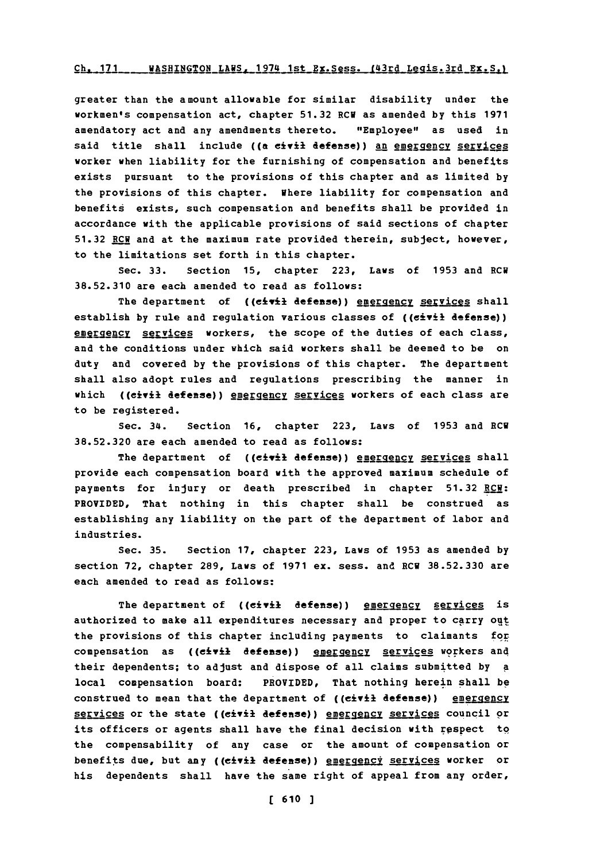#### Ch. 171 WASHINGTON LAWS, 1974 1st Ex.Sess. (43rd Legis.3rd Ex.S.)

greater than the amount allowable for similar disability under the workmen's compensation act, chapter **51.32** ECU as amended **by** this **1971** amendatory act and any amendments thereto. "Employee" as used in said title shall include ((a civil defense)) an emergency services worker when liability for the furnishing of compensation and benefits exists pursuant to the provisions of this chapter and as limited **by** the provisions of this chapter. Where liability for compensation and benefits exists, such compensation and benefits shall be provided in accordance with the applicable provisions of said sections of chapter **51.32** ECU and at the maximum rate provided therein, subject, however, to the limitations set forth in this chapter.

Sec. **33.** Section **15,** chapter **223,** Laws of **1953** and ECU **38.52.310** are each amended to read as follows:

The department of ((civil defense)) emergency services shall establish **by** rule and regulation various classes of **((eiYil** defense)) emergency services workers, the scope of the duties of each class, and the conditions under which said workers shall be deemed to be on duty and covered **by** the provisions of this chapter. The department shall also adopt rules and regulations prescribing the manner in which ((civil defense)) **emergency services** workers of each class are to be registered.

Sec. 34. Section **16,** chapter **223,** Laws of **1953** and ECU **38.52.320** are each amended to read as follows:

The department of ((civil defense)) energency services shall provide each compensation board with the approved maximum schedule of payments for injury or death prescribed in chapter **51.32** ECW: PROVIDED, That nothing in this chapter shall be construed as establishing any liability on the part of the department of labor and industries.

Sec. **35.** Section **17,** chapter **223,** Laws of **1953** as amended **by** section **72,** chapter **289,** Laws of **1971** ex. sess. and ECU **38.52.330** are each amended to read as follows:

The department of ((civil defense)) energency services is authorized to make all expenditures necessary and proper to carry out the provisions of this chapter including payments to claimants **for** compensation as ((civil defense)) energency services workers and their dependents; to adjust and dispose of all claims submitted **by A** local compensation board: PROVIDED, That nothing herein shall **be** construed to mean that the department of ((civil defense)) emergency services or the state ((civil defense)) emergency services council or its officers or agents shall have the final decision with respect to the compensability of any case or the amount of compensation or benefits due, but any ((civil defense)) energency services worker or his dependents shall have the same right of appeal from any order,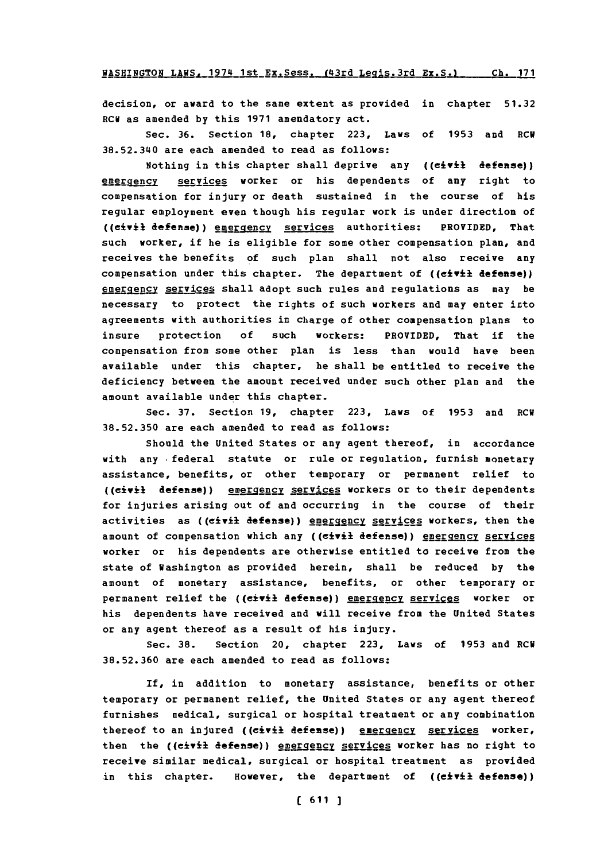**!ASHINEGTON LAXSjL1974** 1st Ex.Sess.-(43rd Legis.3rd Ex.S.) **Ch. 171**

decision, or award to the same extent as provided in chapter **51.32** ECU as amended **by** this **1971** amendatory act.

Sec. **36.** Section **18,** chapter **223,** Laws of **1953** and ECU **38.52.340** are each amended to read as follows:

Nothing in this chapter shall deprive any **((civil** defense)) emergency services worker or his dependents of any right to compensation for injury or death sustained in the course of his regular employment even though his regular work is under direction of ((civil defense)) emergency services authorities: PROVIDED, That such worker, if he is eligible for some other compensation plan, and receives the benefits of such plan shall not also receive any compensation under this chapter. The department of ((civil defense)) emergency services shall adopt such rules and regulations as may be necessary to protect the rights of such workers and may enter into agreements with authorities in charge of other compensation plans to insure protection **of** such workers: PROVIDED, That if the compensation from some other plan is less than would have been available under this chapter, he shall be entitled to receive the deficiency between the amount received under such other plan and the amount available under this chapter.

Sec. **37.** Section **19,** chapter **223,** Laws of **1953** and ECU **38.52.350** are each amended to read as follows:

Should the United States or any agent thereof, in accordance with any federal statute or rule or regulation, furnish monetary assistance, benefits, or other temporary or permanent relief to ((civil defense)) emergency services workers or to their dependents for injuries arising out of and occurring in the course of their activities as ((civil defense)) energency services workers, then the amount of compensation which any ((civil defense)) energency services worker or his dependents are otherwise entitled to receive from the state of Washington as provided herein, shall be reduced **by** the amount of monetary assistance, benefits, or other temporary or permanent relief the ((civil defense)) emergency services worker or his dependents have received and will receive from the United States or any agent thereof as a result of his injury.

Sec. **38.** Section 20, chapter **223,** Laws of **1953** and ECU **38.52.360** are each amended to read as follows:

If, in addition to monetary assistance, benefits or other temporary or permanent relief, the United States or any agent thereof furnishes medical, surgical or hospital treatment or any combination thereof to an injured ((civil defense)) energency services worker, then the ((civil defense)) emergency services worker has no right to receive similar medical, surgical or hospital treatment as provided in this chapter. However, the department of **((eivil** defense))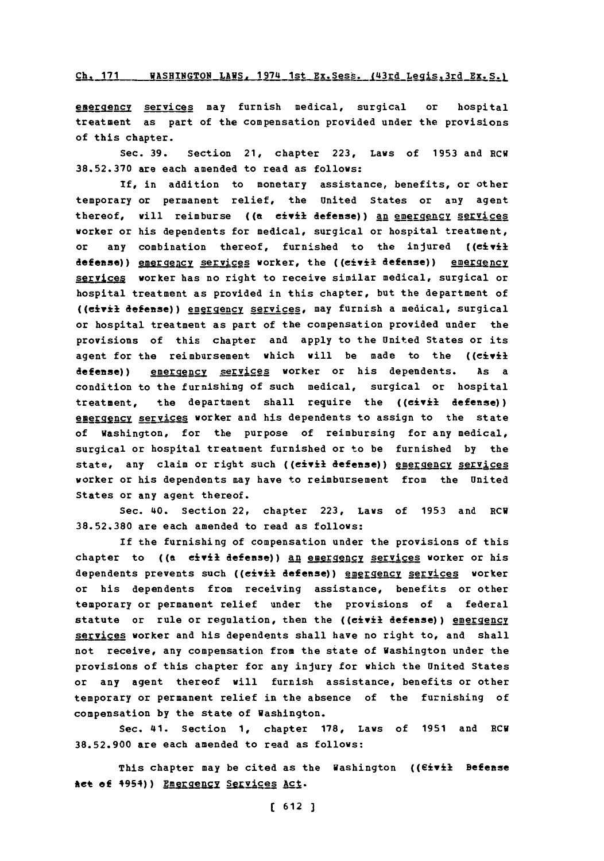#### Ch. 171 WASHINGTON LAWS, 1974 1st Ex. Sess. (43rd Legis. 3rd Ex. S.)

gergency services may furnish medical, surgical or hospital treatment as part of the compensation provided under the provisions of this chapter.

Sec. **39.** Section 21, chapter **223,** Laws of **1953** and ECU **38.52.370** are each amended to read as follows:

**If,** in addition to monetary assistance, benefits, or other temporary or permanent relief, the United States or any agent thereof, will reimburse ((a civil defense)) an emergency services worker or his dependents for medical, surgical or hospital treatment, or any combination thereof, furnished to the injured **((civil** defense)) emergency services worker, the ((eivil defense)) emergency services worker has no right to receive similar medical, surgical or hospital treatment as provided in this chapter, but the department of ((civil defense)) engrgency services, may furnish a medical, surgical or hospital treatment as part of the compensation provided under the provisions of this chapter and apply to the United States or its agent for the reimbursement which will be made to the ((civil defense)) emergency services worker or his dependents. As a condition to the furnishing of such medical, surgical or hospital treatment, the department shall require the ((civil **defense)) energency services worker and his dependents to assign to the state** of Washington, for the purpose of reimbursing for any medical, surgical or hospital treatment furnished or to be furnished **by** the state, any claim or right such ((eivil defense)) emergency services worker or his dependents may have to reimbursement from the United States or any agent thereof.

Sec. 40. Section 22, chapter **223,** Laws of **1953** and ECU **38.52.380** are each amended to read as follows:

If the furnishing of compensation under the provisions of this chapter to ((a civil defense)) an emergency services worker or his dependents prevents such ((eivil defense)) energency services worker or his dependents from receiving assistance, benefits or other temporary or permanent relief under the provisions of a federal statute or rule or regulation, then the ((civil defense)) emergency services worker and his dependents shall have no right to, and shall not receive, any compensation from the state of Washington under the provisions of this chapter for any injury for which the United States or any agent thereof will furnish assistance, benefits or other temporary or permanent relief in the absence of the furnishing of compensation **by** the state of Washington.

Sec. 41. Section **1,** chapter **178,** Laws of **1951** and ECU **38.52.900** are each amended to read as follows:

This chapter may be cited as the Washington ((Eivil Befense Act of 4954) ) Emergency Services Act.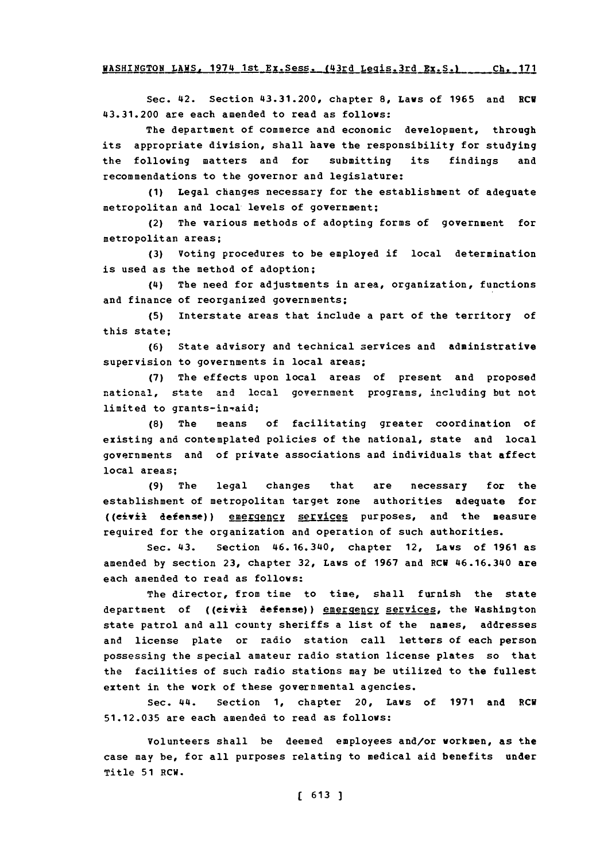Sec. 42. Section 43.31.200, chapter **8,** Laws of **1965** and ECV 43.31.200 are each amended to read as follows:

The department of commerce and economic development, through its appropriate division, shall have the responsibility for studying the following matters and for submitting its findings and recommendations to the governor and legislature:

**(1)** Legal changes necessary for the establishment of adequate metropolitan and local levels of government;

(2) The various methods of adopting forms of government for metropolitan areas;

**(3)** Voting procedures to be employed if local determination is used as the method of adoption;

(4) The need for adjustments in area, organization, functions and finance of reorganized governments;

**(5)** Interstate areas that include a part of the territory of this state;

**(6)** State advisory and technical services and administrative supervision to governments in local areas;

**(7)** The effects upon local areas of present and proposed national, state and local government programs, including but not limited to grants-in-aid;

**(8)** The means of facilitating greater coordination of existing and contemplated policies of the national, state and local governments and of private associations and individuals that affect local areas;

**(9)** The legal changes that are necessary for the establishment of metropolitan target zone authorities adequate for ((eivil defense)) emergency services purposes, and the measure required for the organization and operation of such authorities.

Sec. 43. Section 46.16.340, chapter 12, Laws of **1961** as amended **by** section **23,** chapter **32,** Laws of **1967** and ECU 46.16.340 are each amended to read as follows:

The director, from time to time, shall furnish the state department of ((eivil defense)) emergency services, the Washington state patrol and all county sheriffs a list of the names, addresses and license plate or radio station call letters of each person possessing the special amateur radio station license plates so that the facilities of such radio stations may be utilized to the fullest extent in the work of these governmental agencies.

Sec. 44. Section **1,** chapter 20, Laws of **1971** and RCV **51.12.035** are each amended to read as follows:

Volunteers shall be deemed employees and/or workmen, as **the** case may be, for all purposes relating to medical aid benefits under Title **51** RCW.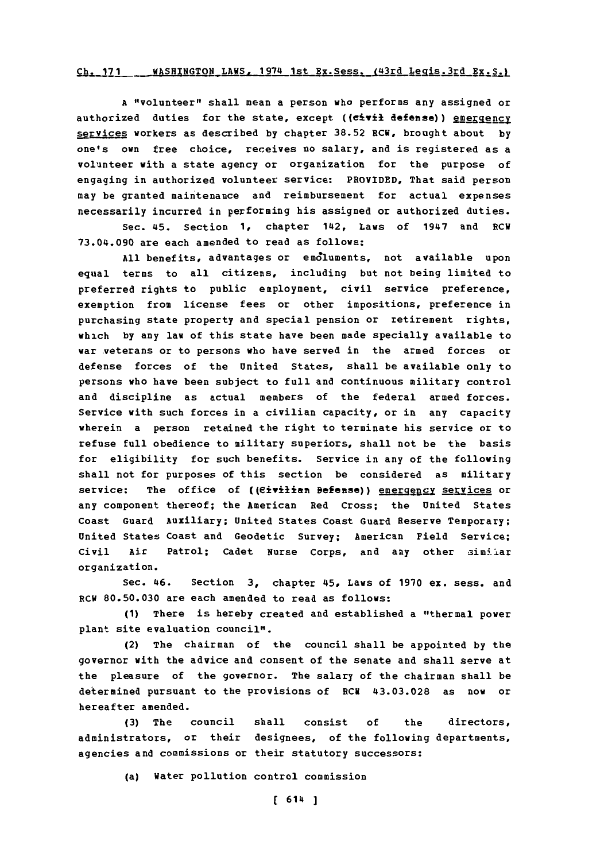## Ch. 171 WASHINGTON LAWS, 1974 1st Ex. Sess. (43rd Legis. 3rd Ex. S.)

**<sup>A</sup>**"volunteer" shall mean a person who performs any assigned or authorized duties for the state, except ((civil defense)) emergency services workers as described **by** chapter **38.52** RCW, brought about **by** one's own free choice, receives no salary, and is registered as a volunteer vith a state agency or organization for the purpose of engaging in authorized volunteer service: PROVIDED, That said person may be granted maintenance and reimbursement for actual expenses necessarily incurred in performing his assigned or authorized duties.

sec. 45. section **1,** chapter 142, Laws of 1947 and RCW **73.04.090** are each amended to read as follows:

**All** benefits, advantages or emoluments, not available upon equal terms to all citizens, including but not being limited to preferred rights to public employment, civil service preference, exemption from license fees or other impositions, preference in purchasing state property and special pension or retirement rights, which **by** any law of this state have been made specially available to war veterans or to persons who have served in the armed forces or defense forces of the United States, shall be available only to persons who have been subject to full and continuous military control and discipline as actual members of the federal armed forces. Service with such forces in a civilian capacity, or in any capacity wherein a person retained the right to terminate his service or to refuse **full** obedience to military superiors, shall not be the basis for eligibility for such benefits. Service in any of the following shall not for purposes of this section be considered as military service: The office of ((eivilian Befense)) energency services or any component thereof; the American Red Cross; the United States Coast Guard Auxiliary; United States Coast Guard Reserve Temporary; United States Coast and Geodetic Survey; American Field Service; civil Air Patrol; cadet Nurse corps, and any other simil.ar organization.

Sec. 46. Section **3,** chapter 45, Laws of **1970** ex. sess. and RCW **80.50.030** are each amended to read as follows:

**(1)** There is hereby created and established a "thermal power plant site evaluation council".

(2) The chairman of the council shall be appointed **by** the governor with the advice and consent of the senate and shall serve at the pleasure of the governor. The salary of the chairman shall be determined pursuant to the provisions of RCW **43.03.028** as now or hereafter amended.

**(3)** The council shall consist **of** the directors, administrators, or their designees, of the following departments, agencies and commissions or their statutory successors:

(a) Water pollution control commission